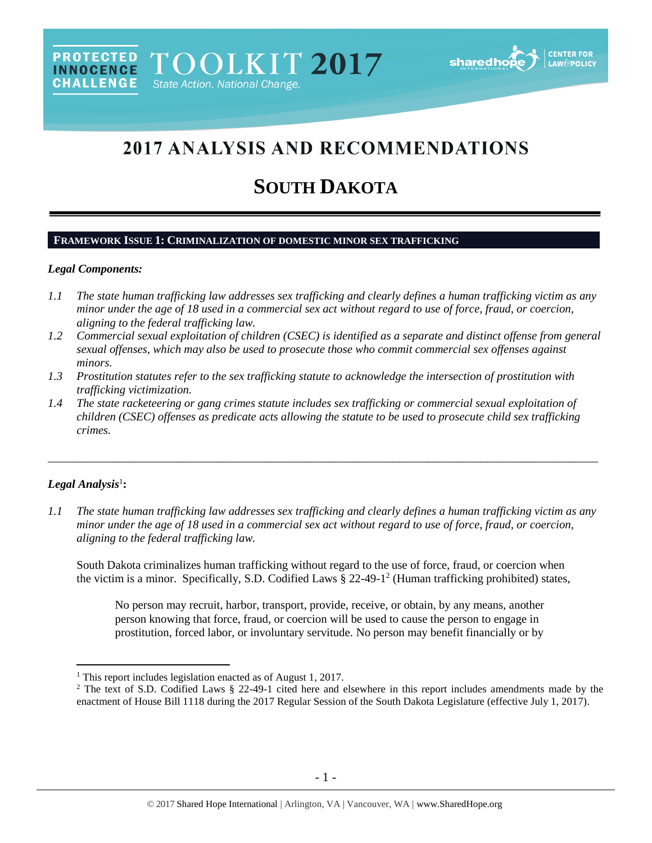# 2017 ANALYSIS AND RECOMMENDATIONS

# **SOUTH DAKOTA**

# **FRAMEWORK ISSUE 1: CRIMINALIZATION OF DOMESTIC MINOR SEX TRAFFICKING**

#### *Legal Components:*

- *1.1 The state human trafficking law addresses sex trafficking and clearly defines a human trafficking victim as any minor under the age of 18 used in a commercial sex act without regard to use of force, fraud, or coercion, aligning to the federal trafficking law.*
- *1.2 Commercial sexual exploitation of children (CSEC) is identified as a separate and distinct offense from general sexual offenses, which may also be used to prosecute those who commit commercial sex offenses against minors.*
- *1.3 Prostitution statutes refer to the sex trafficking statute to acknowledge the intersection of prostitution with trafficking victimization.*
- *1.4 The state racketeering or gang crimes statute includes sex trafficking or commercial sexual exploitation of children (CSEC) offenses as predicate acts allowing the statute to be used to prosecute child sex trafficking crimes.*

# $Legal$  Analysis<sup>1</sup>:

 $\overline{a}$ 

*1.1 The state human trafficking law addresses sex trafficking and clearly defines a human trafficking victim as any minor under the age of 18 used in a commercial sex act without regard to use of force, fraud, or coercion, aligning to the federal trafficking law.*

\_\_\_\_\_\_\_\_\_\_\_\_\_\_\_\_\_\_\_\_\_\_\_\_\_\_\_\_\_\_\_\_\_\_\_\_\_\_\_\_\_\_\_\_\_\_\_\_\_\_\_\_\_\_\_\_\_\_\_\_\_\_\_\_\_\_\_\_\_\_\_\_\_\_\_\_\_\_\_\_\_\_\_\_\_\_\_\_\_\_\_\_\_\_

South Dakota criminalizes human trafficking without regard to the use of force, fraud, or coercion when the victim is a minor. Specifically, S.D. Codified Laws § 22-49-1 2 (Human trafficking prohibited) states,

<span id="page-0-0"></span>No person may recruit, harbor, transport, provide, receive, or obtain, by any means, another person knowing that force, fraud, or coercion will be used to cause the person to engage in prostitution, forced labor, or involuntary servitude. No person may benefit financially or by

<sup>&</sup>lt;sup>1</sup> This report includes legislation enacted as of August 1, 2017.

<sup>&</sup>lt;sup>2</sup> The text of S.D. Codified Laws § 22-49-1 cited here and elsewhere in this report includes amendments made by the enactment of House Bill 1118 during the 2017 Regular Session of the South Dakota Legislature (effective July 1, 2017).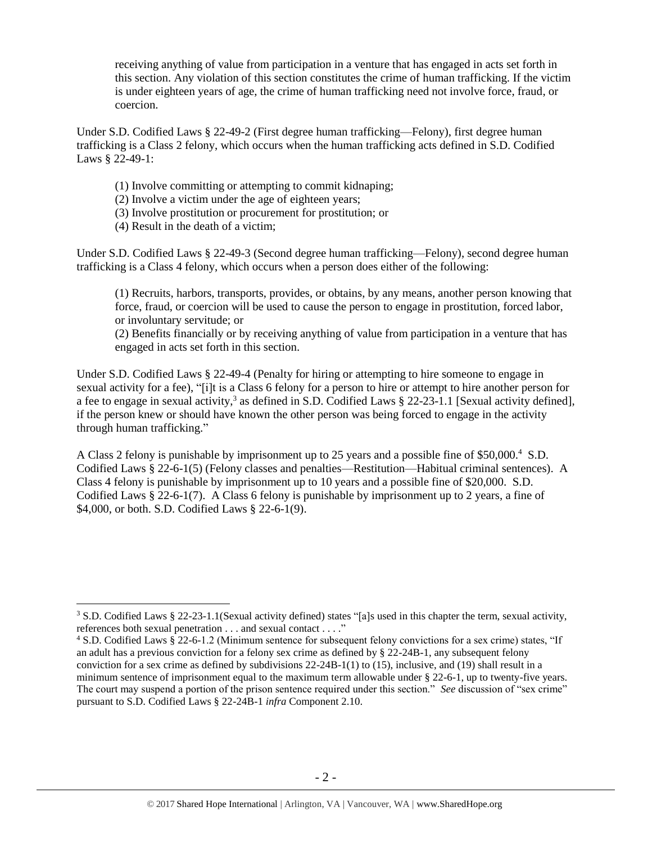receiving anything of value from participation in a venture that has engaged in acts set forth in this section. Any violation of this section constitutes the crime of human trafficking. If the victim is under eighteen years of age, the crime of human trafficking need not involve force, fraud, or coercion.

Under S.D. Codified Laws § 22-49-2 (First degree human trafficking—Felony), first degree human trafficking is a Class 2 felony, which occurs when the human trafficking acts defined in S.D. Codified Laws § 22-49-1:

- (1) Involve committing or attempting to commit kidnaping;
- (2) Involve a victim under the age of eighteen years;
- (3) Involve prostitution or procurement for prostitution; or
- (4) Result in the death of a victim;

 $\overline{a}$ 

Under S.D. Codified Laws § 22-49-3 (Second degree human trafficking—Felony), second degree human trafficking is a Class 4 felony, which occurs when a person does either of the following:

(1) Recruits, harbors, transports, provides, or obtains, by any means, another person knowing that force, fraud, or coercion will be used to cause the person to engage in prostitution, forced labor, or involuntary servitude; or

(2) Benefits financially or by receiving anything of value from participation in a venture that has engaged in acts set forth in this section.

Under S.D. Codified Laws § 22-49-4 (Penalty for hiring or attempting to hire someone to engage in sexual activity for a fee), "[i]t is a Class 6 felony for a person to hire or attempt to hire another person for a fee to engage in sexual activity,<sup>3</sup> as defined in S.D. Codified Laws  $\S$  22-23-1.1 [Sexual activity defined], if the person knew or should have known the other person was being forced to engage in the activity through human trafficking."

A Class 2 felony is punishable by imprisonment up to 25 years and a possible fine of \$50,000.<sup>4</sup> S.D. Codified Laws § 22-6-1(5) (Felony classes and penalties—Restitution—Habitual criminal sentences). A Class 4 felony is punishable by imprisonment up to 10 years and a possible fine of \$20,000. S.D. Codified Laws § 22-6-1(7). A Class 6 felony is punishable by imprisonment up to 2 years, a fine of \$4,000, or both. S.D. Codified Laws § 22-6-1(9).

<sup>3</sup> S.D. Codified Laws § 22-23-1.1(Sexual activity defined) states "[a]s used in this chapter the term, sexual activity, references both sexual penetration . . . and sexual contact . . . ."

<sup>4</sup> S.D. Codified Laws § 22-6-1.2 (Minimum sentence for subsequent felony convictions for a sex crime) states, "If an adult has a previous conviction for a felony sex crime as defined by § 22-24B-1, any subsequent felony conviction for a sex crime as defined by subdivisions 22-24B-1(1) to (15), inclusive, and (19) shall result in a minimum sentence of imprisonment equal to the maximum term allowable under § 22-6-1, up to twenty-five years. The court may suspend a portion of the prison sentence required under this section." *See* discussion of "sex crime" pursuant to S.D. Codified Laws § 22-24B-1 *infra* Component 2.10.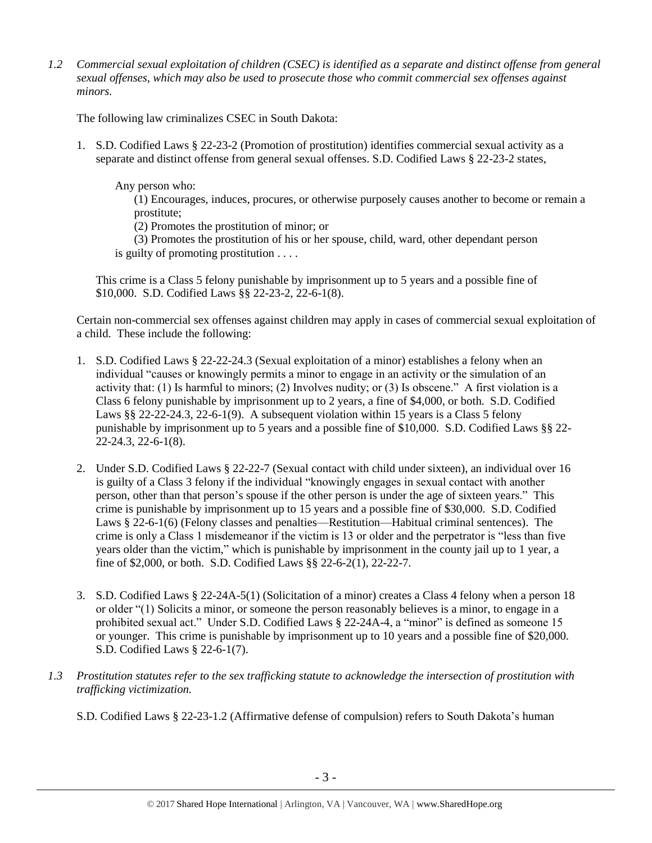*1.2 Commercial sexual exploitation of children (CSEC) is identified as a separate and distinct offense from general sexual offenses, which may also be used to prosecute those who commit commercial sex offenses against minors.*

The following law criminalizes CSEC in South Dakota:

1. S.D. Codified Laws § 22-23-2 (Promotion of prostitution) identifies commercial sexual activity as a separate and distinct offense from general sexual offenses. S.D. Codified Laws § 22-23-2 states,

Any person who:

(1) Encourages, induces, procures, or otherwise purposely causes another to become or remain a prostitute;

(2) Promotes the prostitution of minor; or

(3) Promotes the prostitution of his or her spouse, child, ward, other dependant person is guilty of promoting prostitution . . . .

This crime is a Class 5 felony punishable by imprisonment up to 5 years and a possible fine of \$10,000. S.D. Codified Laws §§ 22-23-2, 22-6-1(8).

Certain non-commercial sex offenses against children may apply in cases of commercial sexual exploitation of a child. These include the following:

- 1. S.D. Codified Laws § 22-22-24.3 (Sexual exploitation of a minor) establishes a felony when an individual "causes or knowingly permits a minor to engage in an activity or the simulation of an activity that: (1) Is harmful to minors; (2) Involves nudity; or (3) Is obscene." A first violation is a Class 6 felony punishable by imprisonment up to 2 years, a fine of \$4,000, or both. S.D. Codified Laws §§ 22-22-24.3, 22-6-1(9). A subsequent violation within 15 years is a Class 5 felony punishable by imprisonment up to 5 years and a possible fine of \$10,000. S.D. Codified Laws §§ 22- 22-24.3, 22-6-1(8).
- 2. Under S.D. Codified Laws § 22-22-7 (Sexual contact with child under sixteen), an individual over 16 is guilty of a Class 3 felony if the individual "knowingly engages in sexual contact with another person, other than that person's spouse if the other person is under the age of sixteen years." This crime is punishable by imprisonment up to 15 years and a possible fine of \$30,000. S.D. Codified Laws § 22-6-1(6) (Felony classes and penalties—Restitution—Habitual criminal sentences). The crime is only a Class 1 misdemeanor if the victim is 13 or older and the perpetrator is "less than five years older than the victim," which is punishable by imprisonment in the county jail up to 1 year, a fine of \$2,000, or both. S.D. Codified Laws §§ 22-6-2(1), 22-22-7.
- 3. S.D. Codified Laws § 22-24A-5(1) (Solicitation of a minor) creates a Class 4 felony when a person 18 or older "(1) Solicits a minor, or someone the person reasonably believes is a minor, to engage in a prohibited sexual act." Under S.D. Codified Laws § 22-24A-4, a "minor" is defined as someone 15 or younger. This crime is punishable by imprisonment up to 10 years and a possible fine of \$20,000. S.D. Codified Laws § 22-6-1(7).
- *1.3 Prostitution statutes refer to the sex trafficking statute to acknowledge the intersection of prostitution with trafficking victimization.* 
	- S.D. Codified Laws § 22-23-1.2 (Affirmative defense of compulsion) refers to South Dakota's human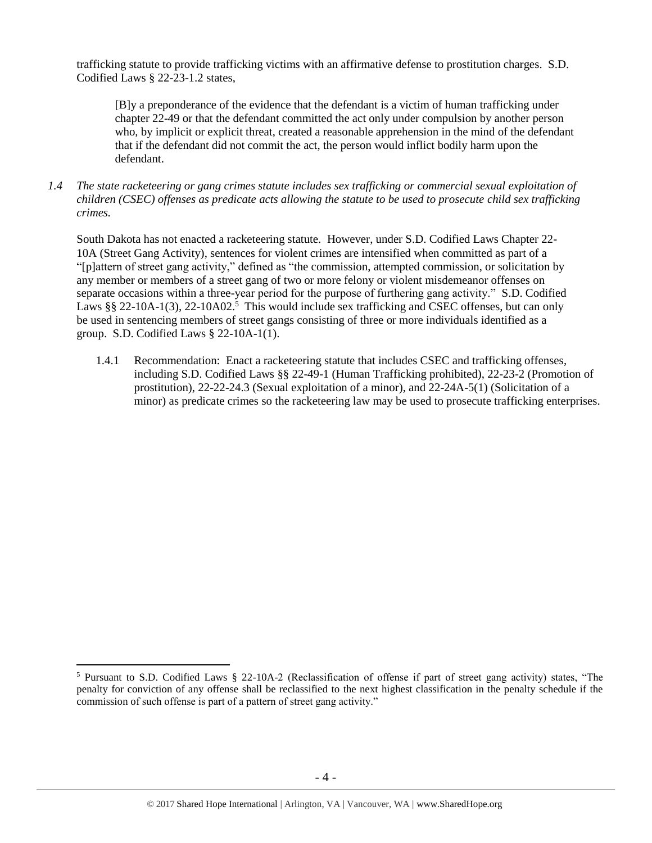trafficking statute to provide trafficking victims with an affirmative defense to prostitution charges. S.D. Codified Laws § 22-23-1.2 states,

[B]y a preponderance of the evidence that the defendant is a victim of human trafficking under chapter 22-49 or that the defendant committed the act only under compulsion by another person who, by implicit or explicit threat, created a reasonable apprehension in the mind of the defendant that if the defendant did not commit the act, the person would inflict bodily harm upon the defendant.

*1.4 The state racketeering or gang crimes statute includes sex trafficking or commercial sexual exploitation of children (CSEC) offenses as predicate acts allowing the statute to be used to prosecute child sex trafficking crimes.* 

South Dakota has not enacted a racketeering statute. However, under S.D. Codified Laws Chapter 22- 10A (Street Gang Activity), sentences for violent crimes are intensified when committed as part of a "[p]attern of street gang activity," defined as "the commission, attempted commission, or solicitation by any member or members of a street gang of two or more felony or violent misdemeanor offenses on separate occasions within a three-year period for the purpose of furthering gang activity." S.D. Codified Laws §§ 22-10A-1(3), 22-10A02.<sup>5</sup> This would include sex trafficking and CSEC offenses, but can only be used in sentencing members of street gangs consisting of three or more individuals identified as a group. S.D. Codified Laws § 22-10A-1(1).

1.4.1 Recommendation: Enact a racketeering statute that includes CSEC and trafficking offenses, including S.D. Codified Laws §§ 22-49-1 (Human Trafficking prohibited), 22-23-2 (Promotion of prostitution), 22-22-24.3 (Sexual exploitation of a minor), and 22-24A-5(1) (Solicitation of a minor) as predicate crimes so the racketeering law may be used to prosecute trafficking enterprises.

<sup>5</sup> Pursuant to S.D. Codified Laws § 22-10A-2 (Reclassification of offense if part of street gang activity) states, "The penalty for conviction of any offense shall be reclassified to the next highest classification in the penalty schedule if the commission of such offense is part of a pattern of street gang activity."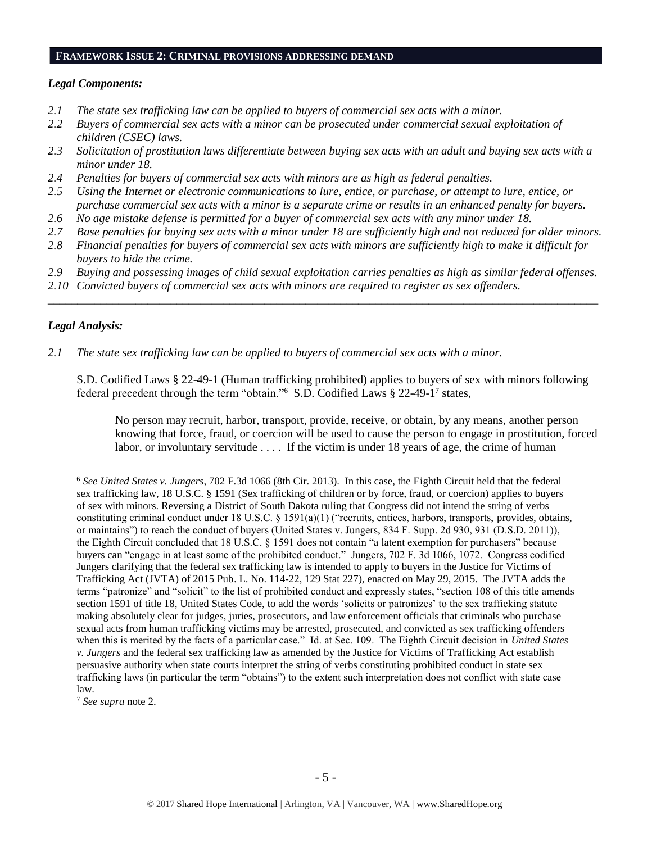#### **FRAMEWORK ISSUE 2: CRIMINAL PROVISIONS ADDRESSING DEMAND**

#### *Legal Components:*

- *2.1 The state sex trafficking law can be applied to buyers of commercial sex acts with a minor.*
- *2.2 Buyers of commercial sex acts with a minor can be prosecuted under commercial sexual exploitation of children (CSEC) laws.*
- *2.3 Solicitation of prostitution laws differentiate between buying sex acts with an adult and buying sex acts with a minor under 18.*
- *2.4 Penalties for buyers of commercial sex acts with minors are as high as federal penalties.*
- *2.5 Using the Internet or electronic communications to lure, entice, or purchase, or attempt to lure, entice, or purchase commercial sex acts with a minor is a separate crime or results in an enhanced penalty for buyers.*
- *2.6 No age mistake defense is permitted for a buyer of commercial sex acts with any minor under 18.*
- *2.7 Base penalties for buying sex acts with a minor under 18 are sufficiently high and not reduced for older minors.*
- *2.8 Financial penalties for buyers of commercial sex acts with minors are sufficiently high to make it difficult for buyers to hide the crime.*
- *2.9 Buying and possessing images of child sexual exploitation carries penalties as high as similar federal offenses.*

\_\_\_\_\_\_\_\_\_\_\_\_\_\_\_\_\_\_\_\_\_\_\_\_\_\_\_\_\_\_\_\_\_\_\_\_\_\_\_\_\_\_\_\_\_\_\_\_\_\_\_\_\_\_\_\_\_\_\_\_\_\_\_\_\_\_\_\_\_\_\_\_\_\_\_\_\_\_\_\_\_\_\_\_\_\_\_\_\_\_\_\_\_\_

*2.10 Convicted buyers of commercial sex acts with minors are required to register as sex offenders.*

## *Legal Analysis:*

 $\overline{a}$ 

*2.1 The state sex trafficking law can be applied to buyers of commercial sex acts with a minor.* 

S.D. Codified Laws § 22-49-1 (Human trafficking prohibited) applies to buyers of sex with minors following federal precedent through the term "obtain."<sup>6</sup> S.D. Codified Laws § 22-49-1<sup>7</sup> states,

No person may recruit, harbor, transport, provide, receive, or obtain, by any means, another person knowing that force, fraud, or coercion will be used to cause the person to engage in prostitution, forced labor, or involuntary servitude . . . . If the victim is under 18 years of age, the crime of human

<sup>7</sup> *See supra* note [2.](#page-0-0)

<sup>6</sup> *See United States v. Jungers*, 702 F.3d 1066 (8th Cir. 2013). In this case, the Eighth Circuit held that the federal sex trafficking law, 18 U.S.C. § 1591 (Sex trafficking of children or by force, fraud, or coercion) applies to buyers of sex with minors. Reversing a District of South Dakota ruling that Congress did not intend the string of verbs constituting criminal conduct under 18 U.S.C. § 1591(a)(1) ("recruits, entices, harbors, transports, provides, obtains, or maintains") to reach the conduct of buyers (United States v. Jungers, 834 F. Supp. 2d 930, 931 (D.S.D. 2011)), the Eighth Circuit concluded that 18 U.S.C. § 1591 does not contain "a latent exemption for purchasers" because buyers can "engage in at least some of the prohibited conduct." Jungers, 702 F. 3d 1066, 1072. Congress codified Jungers clarifying that the federal sex trafficking law is intended to apply to buyers in the Justice for Victims of Trafficking Act (JVTA) of 2015 Pub. L. No. 114-22, 129 Stat 227), enacted on May 29, 2015. The JVTA adds the terms "patronize" and "solicit" to the list of prohibited conduct and expressly states, "section 108 of this title amends section 1591 of title 18, United States Code, to add the words 'solicits or patronizes' to the sex trafficking statute making absolutely clear for judges, juries, prosecutors, and law enforcement officials that criminals who purchase sexual acts from human trafficking victims may be arrested, prosecuted, and convicted as sex trafficking offenders when this is merited by the facts of a particular case." Id. at Sec. 109. The Eighth Circuit decision in *United States v. Jungers* and the federal sex trafficking law as amended by the Justice for Victims of Trafficking Act establish persuasive authority when state courts interpret the string of verbs constituting prohibited conduct in state sex trafficking laws (in particular the term "obtains") to the extent such interpretation does not conflict with state case law.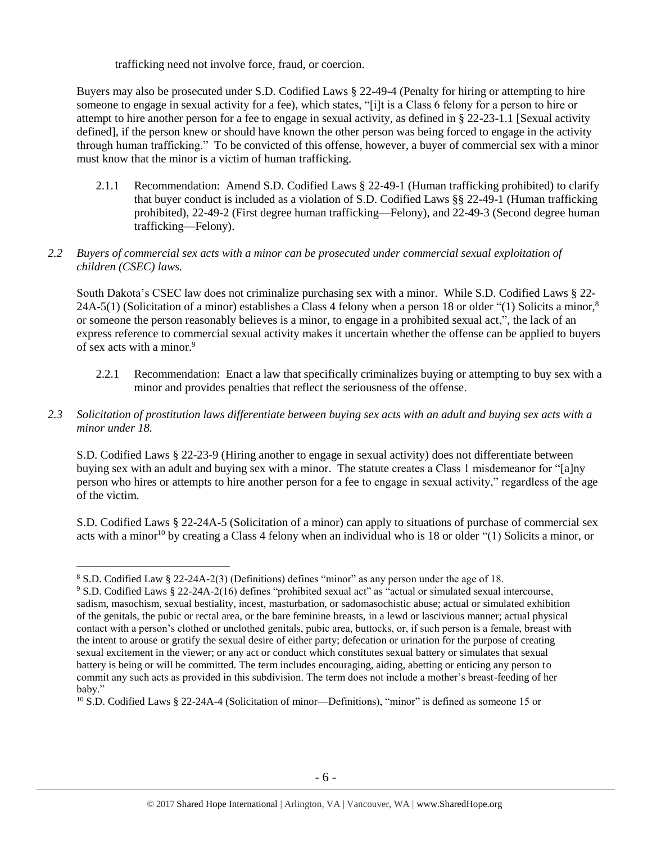trafficking need not involve force, fraud, or coercion.

Buyers may also be prosecuted under S.D. Codified Laws § 22-49-4 (Penalty for hiring or attempting to hire someone to engage in sexual activity for a fee), which states, "[i]t is a Class 6 felony for a person to hire or attempt to hire another person for a fee to engage in sexual activity, as defined in § 22-23-1.1 [Sexual activity defined], if the person knew or should have known the other person was being forced to engage in the activity through human trafficking." To be convicted of this offense, however, a buyer of commercial sex with a minor must know that the minor is a victim of human trafficking.

2.1.1 Recommendation: Amend S.D. Codified Laws § 22-49-1 (Human trafficking prohibited) to clarify that buyer conduct is included as a violation of S.D. Codified Laws §§ 22-49-1 (Human trafficking prohibited), 22-49-2 (First degree human trafficking—Felony), and 22-49-3 (Second degree human trafficking—Felony).

# *2.2 Buyers of commercial sex acts with a minor can be prosecuted under commercial sexual exploitation of children (CSEC) laws.*

South Dakota's CSEC law does not criminalize purchasing sex with a minor. While S.D. Codified Laws § 22- 24A-5(1) (Solicitation of a minor) establishes a Class 4 felony when a person 18 or older "(1) Solicits a minor,<sup>8</sup> or someone the person reasonably believes is a minor, to engage in a prohibited sexual act,", the lack of an express reference to commercial sexual activity makes it uncertain whether the offense can be applied to buyers of sex acts with a minor.<sup>9</sup>

- 2.2.1 Recommendation: Enact a law that specifically criminalizes buying or attempting to buy sex with a minor and provides penalties that reflect the seriousness of the offense.
- *2.3 Solicitation of prostitution laws differentiate between buying sex acts with an adult and buying sex acts with a minor under 18.*

S.D. Codified Laws § 22-23-9 (Hiring another to engage in sexual activity) does not differentiate between buying sex with an adult and buying sex with a minor. The statute creates a Class 1 misdemeanor for "[a]ny person who hires or attempts to hire another person for a fee to engage in sexual activity," regardless of the age of the victim.

S.D. Codified Laws § 22-24A-5 (Solicitation of a minor) can apply to situations of purchase of commercial sex acts with a minor<sup>10</sup> by creating a Class 4 felony when an individual who is 18 or older "(1) Solicits a minor, or

<sup>8</sup> S.D. Codified Law § 22-24A-2(3) (Definitions) defines "minor" as any person under the age of 18.

<sup>9</sup> S.D. Codified Laws § 22-24A-2(16) defines "prohibited sexual act" as "actual or simulated sexual intercourse, sadism, masochism, sexual bestiality, incest, masturbation, or sadomasochistic abuse; actual or simulated exhibition of the genitals, the pubic or rectal area, or the bare feminine breasts, in a lewd or lascivious manner; actual physical contact with a person's clothed or unclothed genitals, pubic area, buttocks, or, if such person is a female, breast with the intent to arouse or gratify the sexual desire of either party; defecation or urination for the purpose of creating sexual excitement in the viewer; or any act or conduct which constitutes sexual battery or simulates that sexual battery is being or will be committed. The term includes encouraging, aiding, abetting or enticing any person to commit any such acts as provided in this subdivision. The term does not include a mother's breast-feeding of her baby."

 $10$  S.D. Codified Laws § 22-24A-4 (Solicitation of minor—Definitions), "minor" is defined as someone 15 or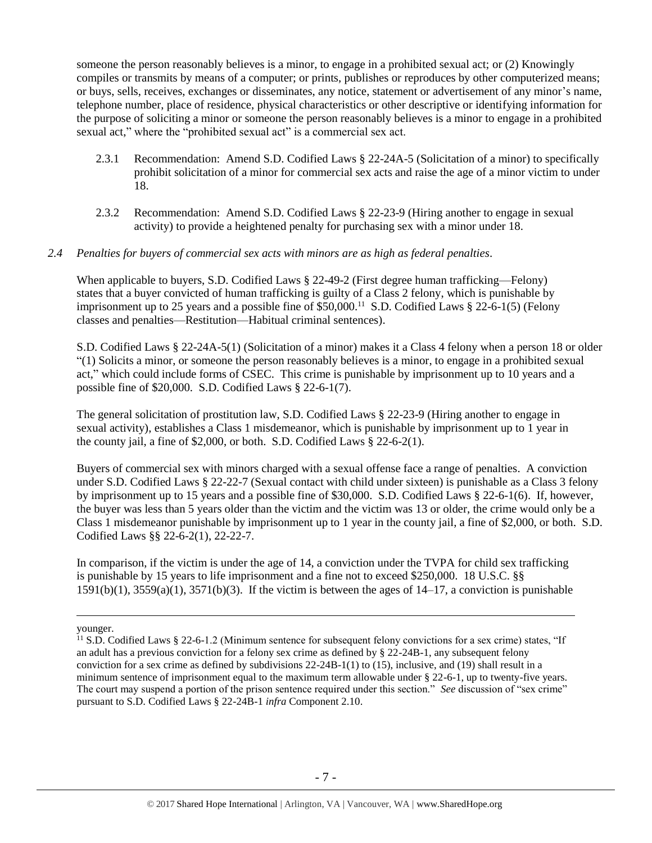someone the person reasonably believes is a minor, to engage in a prohibited sexual act; or (2) Knowingly compiles or transmits by means of a computer; or prints, publishes or reproduces by other computerized means; or buys, sells, receives, exchanges or disseminates, any notice, statement or advertisement of any minor's name, telephone number, place of residence, physical characteristics or other descriptive or identifying information for the purpose of soliciting a minor or someone the person reasonably believes is a minor to engage in a prohibited sexual act," where the "prohibited sexual act" is a commercial sex act.

- 2.3.1 Recommendation: Amend S.D. Codified Laws § 22-24A-5 (Solicitation of a minor) to specifically prohibit solicitation of a minor for commercial sex acts and raise the age of a minor victim to under 18.
- 2.3.2 Recommendation: Amend S.D. Codified Laws § 22-23-9 (Hiring another to engage in sexual activity) to provide a heightened penalty for purchasing sex with a minor under 18.

#### *2.4 Penalties for buyers of commercial sex acts with minors are as high as federal penalties.*

When applicable to buyers, S.D. Codified Laws § 22-49-2 (First degree human trafficking—Felony) states that a buyer convicted of human trafficking is guilty of a Class 2 felony, which is punishable by imprisonment up to 25 years and a possible fine of \$50,000.<sup>11</sup> S.D. Codified Laws § 22-6-1(5) (Felony classes and penalties—Restitution—Habitual criminal sentences).

S.D. Codified Laws § 22-24A-5(1) (Solicitation of a minor) makes it a Class 4 felony when a person 18 or older "(1) Solicits a minor, or someone the person reasonably believes is a minor, to engage in a prohibited sexual act," which could include forms of CSEC. This crime is punishable by imprisonment up to 10 years and a possible fine of \$20,000. S.D. Codified Laws § 22-6-1(7).

The general solicitation of prostitution law, S.D. Codified Laws § 22-23-9 (Hiring another to engage in sexual activity), establishes a Class 1 misdemeanor, which is punishable by imprisonment up to 1 year in the county jail, a fine of \$2,000, or both. S.D. Codified Laws § 22-6-2(1).

Buyers of commercial sex with minors charged with a sexual offense face a range of penalties. A conviction under S.D. Codified Laws § 22-22-7 (Sexual contact with child under sixteen) is punishable as a Class 3 felony by imprisonment up to 15 years and a possible fine of \$30,000. S.D. Codified Laws § 22-6-1(6). If, however, the buyer was less than 5 years older than the victim and the victim was 13 or older, the crime would only be a Class 1 misdemeanor punishable by imprisonment up to 1 year in the county jail, a fine of \$2,000, or both. S.D. Codified Laws §§ 22-6-2(1), 22-22-7.

In comparison, if the victim is under the age of 14, a conviction under the TVPA for child sex trafficking is punishable by 15 years to life imprisonment and a fine not to exceed \$250,000. 18 U.S.C. §§  $1591(b)(1)$ ,  $3559(a)(1)$ ,  $3571(b)(3)$ . If the victim is between the ages of  $14-17$ , a conviction is punishable

younger.

<sup>&</sup>lt;sup>11</sup> S.D. Codified Laws § 22-6-1.2 (Minimum sentence for subsequent felony convictions for a sex crime) states, "If an adult has a previous conviction for a felony sex crime as defined by § 22-24B-1, any subsequent felony conviction for a sex crime as defined by subdivisions 22-24B-1(1) to (15), inclusive, and (19) shall result in a minimum sentence of imprisonment equal to the maximum term allowable under § 22-6-1, up to twenty-five years. The court may suspend a portion of the prison sentence required under this section." *See* discussion of "sex crime" pursuant to S.D. Codified Laws § 22-24B-1 *infra* Component 2.10.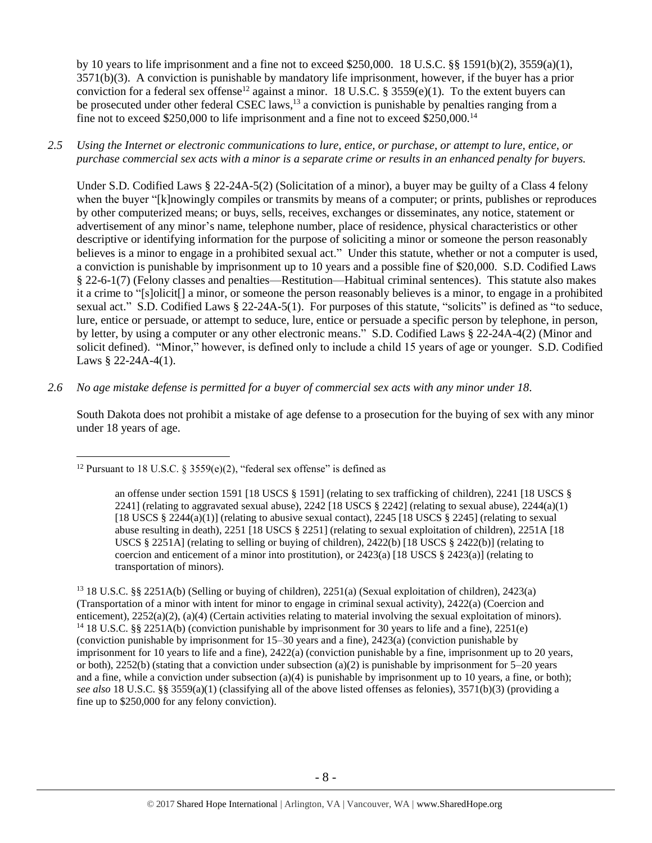<span id="page-7-0"></span>by 10 years to life imprisonment and a fine not to exceed \$250,000. 18 U.S.C. §§ 1591(b)(2), 3559(a)(1), 3571(b)(3). A conviction is punishable by mandatory life imprisonment, however, if the buyer has a prior conviction for a federal sex offense<sup>12</sup> against a minor. 18 U.S.C. § 3559(e)(1). To the extent buyers can be prosecuted under other federal CSEC laws,<sup>13</sup> a conviction is punishable by penalties ranging from a fine not to exceed \$250,000 to life imprisonment and a fine not to exceed \$250,000.<sup>14</sup>

*2.5 Using the Internet or electronic communications to lure, entice, or purchase, or attempt to lure, entice, or purchase commercial sex acts with a minor is a separate crime or results in an enhanced penalty for buyers.*

Under S.D. Codified Laws § 22-24A-5(2) (Solicitation of a minor), a buyer may be guilty of a Class 4 felony when the buyer "[k]nowingly compiles or transmits by means of a computer; or prints, publishes or reproduces by other computerized means; or buys, sells, receives, exchanges or disseminates, any notice, statement or advertisement of any minor's name, telephone number, place of residence, physical characteristics or other descriptive or identifying information for the purpose of soliciting a minor or someone the person reasonably believes is a minor to engage in a prohibited sexual act." Under this statute, whether or not a computer is used, a conviction is punishable by imprisonment up to 10 years and a possible fine of \$20,000. S.D. Codified Laws § 22-6-1(7) (Felony classes and penalties—Restitution—Habitual criminal sentences). This statute also makes it a crime to "[s]olicit[] a minor, or someone the person reasonably believes is a minor, to engage in a prohibited sexual act." S.D. Codified Laws § 22-24A-5(1). For purposes of this statute, "solicits" is defined as "to seduce, lure, entice or persuade, or attempt to seduce, lure, entice or persuade a specific person by telephone, in person, by letter, by using a computer or any other electronic means." S.D. Codified Laws § 22-24A-4(2) (Minor and solicit defined). "Minor," however, is defined only to include a child 15 years of age or younger. S.D. Codified Laws § 22-24A-4(1).

*2.6 No age mistake defense is permitted for a buyer of commercial sex acts with any minor under 18.*

South Dakota does not prohibit a mistake of age defense to a prosecution for the buying of sex with any minor under 18 years of age.

an offense under section 1591 [18 USCS § 1591] (relating to sex trafficking of children), 2241 [18 USCS § 2241] (relating to aggravated sexual abuse), 2242 [18 USCS  $\S$  2242] (relating to sexual abuse), 2244(a)(1) [18 USCS  $\S 2244(a)(1)$ ] (relating to abusive sexual contact), 2245 [18 USCS  $\S 2245$ ] (relating to sexual abuse resulting in death), 2251 [18 USCS § 2251] (relating to sexual exploitation of children), 2251A [18 USCS § 2251A] (relating to selling or buying of children), 2422(b) [18 USCS § 2422(b)] (relating to coercion and enticement of a minor into prostitution), or  $2423(a)$  [18 USCS §  $2423(a)$ ] (relating to transportation of minors).

<sup>13</sup> 18 U.S.C. §§ 2251A(b) (Selling or buying of children), 2251(a) (Sexual exploitation of children), 2423(a) (Transportation of a minor with intent for minor to engage in criminal sexual activity), 2422(a) (Coercion and enticement), 2252(a)(2), (a)(4) (Certain activities relating to material involving the sexual exploitation of minors). <sup>14</sup> 18 U.S.C. §§ 2251A(b) (conviction punishable by imprisonment for 30 years to life and a fine), 2251(e) (conviction punishable by imprisonment for 15–30 years and a fine), 2423(a) (conviction punishable by imprisonment for 10 years to life and a fine), 2422(a) (conviction punishable by a fine, imprisonment up to 20 years, or both), 2252(b) (stating that a conviction under subsection (a)(2) is punishable by imprisonment for  $5-20$  years and a fine, while a conviction under subsection  $(a)(4)$  is punishable by imprisonment up to 10 years, a fine, or both); *see also* 18 U.S.C. §§ 3559(a)(1) (classifying all of the above listed offenses as felonies), 3571(b)(3) (providing a fine up to \$250,000 for any felony conviction).

 $\overline{a}$ <sup>12</sup> Pursuant to 18 U.S.C. § 3559(e)(2), "federal sex offense" is defined as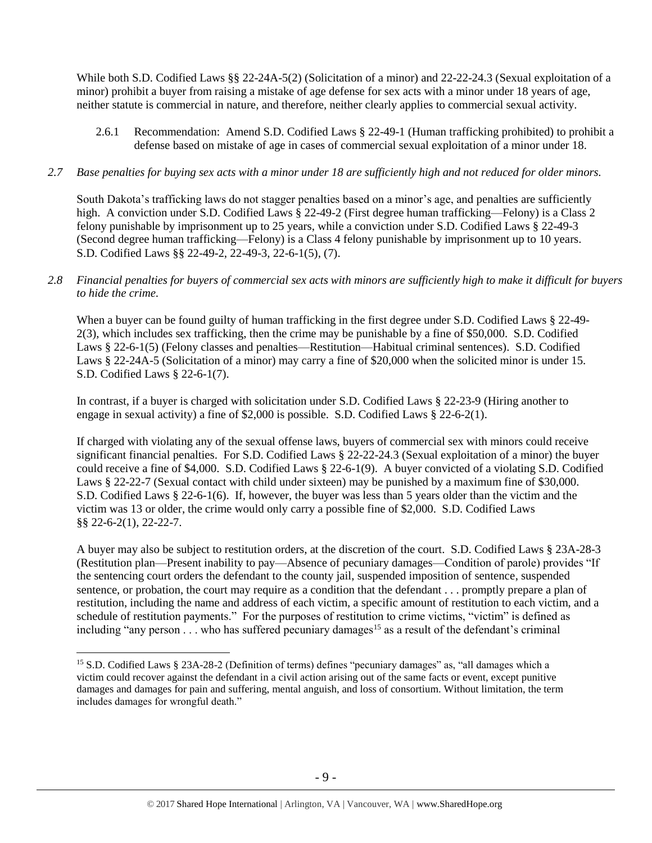While both S.D. Codified Laws §§ 22-24A-5(2) (Solicitation of a minor) and 22-22-24.3 (Sexual exploitation of a minor) prohibit a buyer from raising a mistake of age defense for sex acts with a minor under 18 years of age, neither statute is commercial in nature, and therefore, neither clearly applies to commercial sexual activity.

2.6.1 Recommendation: Amend S.D. Codified Laws § 22-49-1 (Human trafficking prohibited) to prohibit a defense based on mistake of age in cases of commercial sexual exploitation of a minor under 18.

# *2.7 Base penalties for buying sex acts with a minor under 18 are sufficiently high and not reduced for older minors.*

South Dakota's trafficking laws do not stagger penalties based on a minor's age, and penalties are sufficiently high. A conviction under S.D. Codified Laws § 22-49-2 (First degree human trafficking—Felony) is a Class 2 felony punishable by imprisonment up to 25 years, while a conviction under S.D. Codified Laws § 22-49-3 (Second degree human trafficking—Felony) is a Class 4 felony punishable by imprisonment up to 10 years. S.D. Codified Laws §§ 22-49-2, 22-49-3, 22-6-1(5), (7).

# *2.8 Financial penalties for buyers of commercial sex acts with minors are sufficiently high to make it difficult for buyers to hide the crime.*

When a buyer can be found guilty of human trafficking in the first degree under S.D. Codified Laws § 22-49-2(3), which includes sex trafficking, then the crime may be punishable by a fine of \$50,000. S.D. Codified Laws § 22-6-1(5) (Felony classes and penalties—Restitution—Habitual criminal sentences). S.D. Codified Laws § 22-24A-5 (Solicitation of a minor) may carry a fine of \$20,000 when the solicited minor is under 15. S.D. Codified Laws § 22-6-1(7).

In contrast, if a buyer is charged with solicitation under S.D. Codified Laws § 22-23-9 (Hiring another to engage in sexual activity) a fine of \$2,000 is possible. S.D. Codified Laws § 22-6-2(1).

If charged with violating any of the sexual offense laws, buyers of commercial sex with minors could receive significant financial penalties. For S.D. Codified Laws § 22-22-24.3 (Sexual exploitation of a minor) the buyer could receive a fine of \$4,000. S.D. Codified Laws § 22-6-1(9). A buyer convicted of a violating S.D. Codified Laws § 22-22-7 (Sexual contact with child under sixteen) may be punished by a maximum fine of \$30,000. S.D. Codified Laws § 22-6-1(6). If, however, the buyer was less than 5 years older than the victim and the victim was 13 or older, the crime would only carry a possible fine of \$2,000. S.D. Codified Laws §§ 22-6-2(1), 22-22-7.

A buyer may also be subject to restitution orders, at the discretion of the court. S.D. Codified Laws § 23A-28-3 (Restitution plan—Present inability to pay—Absence of pecuniary damages—Condition of parole) provides "If the sentencing court orders the defendant to the county jail, suspended imposition of sentence, suspended sentence, or probation, the court may require as a condition that the defendant . . . promptly prepare a plan of restitution, including the name and address of each victim, a specific amount of restitution to each victim, and a schedule of restitution payments." For the purposes of restitution to crime victims, "victim" is defined as including "any person . . . who has suffered pecuniary damages<sup>15</sup> as a result of the defendant's criminal

<span id="page-8-0"></span><sup>15</sup> S.D. Codified Laws § 23A-28-2 (Definition of terms) defines "pecuniary damages" as, "all damages which a victim could recover against the defendant in a civil action arising out of the same facts or event, except punitive damages and damages for pain and suffering, mental anguish, and loss of consortium. Without limitation, the term includes damages for wrongful death."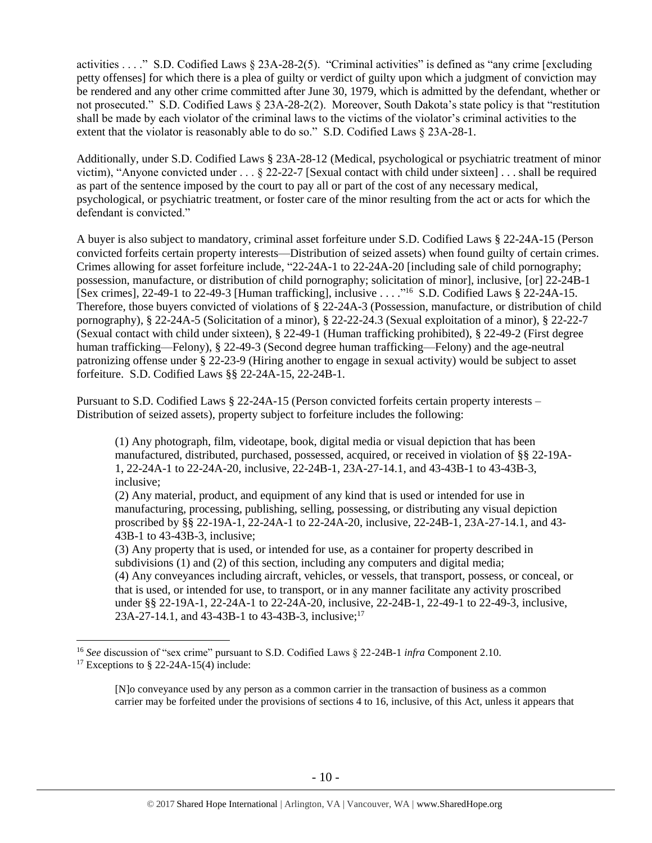activities . . . ." S.D. Codified Laws § 23A-28-2(5). "Criminal activities" is defined as "any crime [excluding petty offenses] for which there is a plea of guilty or verdict of guilty upon which a judgment of conviction may be rendered and any other crime committed after June 30, 1979, which is admitted by the defendant, whether or not prosecuted." S.D. Codified Laws § 23A-28-2(2). Moreover, South Dakota's state policy is that "restitution shall be made by each violator of the criminal laws to the victims of the violator's criminal activities to the extent that the violator is reasonably able to do so." S.D. Codified Laws § 23A-28-1.

Additionally, under S.D. Codified Laws § 23A-28-12 (Medical, psychological or psychiatric treatment of minor victim), "Anyone convicted under . . . § 22-22-7 [Sexual contact with child under sixteen] . . . shall be required as part of the sentence imposed by the court to pay all or part of the cost of any necessary medical, psychological, or psychiatric treatment, or foster care of the minor resulting from the act or acts for which the defendant is convicted."

A buyer is also subject to mandatory, criminal asset forfeiture under S.D. Codified Laws § 22-24A-15 (Person convicted forfeits certain property interests—Distribution of seized assets) when found guilty of certain crimes. Crimes allowing for asset forfeiture include, "22-24A-1 to 22-24A-20 [including sale of child pornography; possession, manufacture, or distribution of child pornography; solicitation of minor], inclusive, [or] 22-24B-1 [Sex crimes], 22-49-1 to 22-49-3 [Human trafficking], inclusive . . . . "<sup>16</sup> S.D. Codified Laws § 22-24A-15. Therefore, those buyers convicted of violations of § 22-24A-3 (Possession, manufacture, or distribution of child pornography), § 22-24A-5 (Solicitation of a minor), § 22-22-24.3 (Sexual exploitation of a minor), § 22-22-7 (Sexual contact with child under sixteen), § 22-49-1 (Human trafficking prohibited), § 22-49-2 (First degree human trafficking—Felony), § 22-49-3 (Second degree human trafficking—Felony) and the age-neutral patronizing offense under § 22-23-9 (Hiring another to engage in sexual activity) would be subject to asset forfeiture. S.D. Codified Laws §§ 22-24A-15, 22-24B-1.

Pursuant to S.D. Codified Laws § 22-24A-15 (Person convicted forfeits certain property interests – Distribution of seized assets), property subject to forfeiture includes the following:

(1) Any photograph, film, videotape, book, digital media or visual depiction that has been manufactured, distributed, purchased, possessed, acquired, or received in violation of §§ 22-19A-1, 22-24A-1 to 22-24A-20, inclusive, 22-24B-1, 23A-27-14.1, and 43-43B-1 to 43-43B-3, inclusive;

(2) Any material, product, and equipment of any kind that is used or intended for use in manufacturing, processing, publishing, selling, possessing, or distributing any visual depiction proscribed by §§ 22-19A-1, 22-24A-1 to 22-24A-20, inclusive, 22-24B-1, 23A-27-14.1, and 43- 43B-1 to 43-43B-3, inclusive;

(3) Any property that is used, or intended for use, as a container for property described in subdivisions (1) and (2) of this section, including any computers and digital media; (4) Any conveyances including aircraft, vehicles, or vessels, that transport, possess, or conceal, or that is used, or intended for use, to transport, or in any manner facilitate any activity proscribed under §§ 22-19A-1, 22-24A-1 to 22-24A-20, inclusive, 22-24B-1, 22-49-1 to 22-49-3, inclusive, 23A-27-14.1, and 43-43B-1 to 43-43B-3, inclusive;<sup>17</sup>

<sup>16</sup> *See* discussion of "sex crime" pursuant to S.D. Codified Laws § 22-24B-1 *infra* Component 2.10.

<sup>&</sup>lt;sup>17</sup> Exceptions to § 22-24A-15(4) include:

<sup>[</sup>N]o conveyance used by any person as a common carrier in the transaction of business as a common carrier may be forfeited under the provisions of sections 4 to 16, inclusive, of this Act, unless it appears that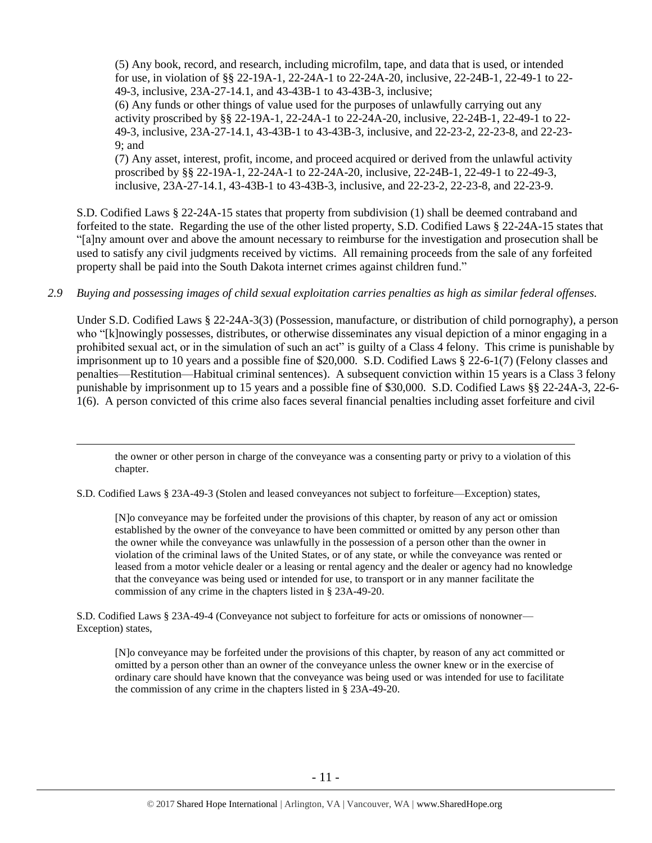(5) Any book, record, and research, including microfilm, tape, and data that is used, or intended for use, in violation of §§ 22-19A-1, 22-24A-1 to 22-24A-20, inclusive, 22-24B-1, 22-49-1 to 22- 49-3, inclusive, 23A-27-14.1, and 43-43B-1 to 43-43B-3, inclusive; (6) Any funds or other things of value used for the purposes of unlawfully carrying out any activity proscribed by §§ 22-19A-1, 22-24A-1 to 22-24A-20, inclusive, 22-24B-1, 22-49-1 to 22- 49-3, inclusive, 23A-27-14.1, 43-43B-1 to 43-43B-3, inclusive, and 22-23-2, 22-23-8, and 22-23- 9; and

(7) Any asset, interest, profit, income, and proceed acquired or derived from the unlawful activity proscribed by §§ 22-19A-1, 22-24A-1 to 22-24A-20, inclusive, 22-24B-1, 22-49-1 to 22-49-3, inclusive, 23A-27-14.1, 43-43B-1 to 43-43B-3, inclusive, and 22-23-2, 22-23-8, and 22-23-9.

S.D. Codified Laws § 22-24A-15 states that property from subdivision (1) shall be deemed contraband and forfeited to the state. Regarding the use of the other listed property, S.D. Codified Laws § 22-24A-15 states that "[a]ny amount over and above the amount necessary to reimburse for the investigation and prosecution shall be used to satisfy any civil judgments received by victims. All remaining proceeds from the sale of any forfeited property shall be paid into the South Dakota internet crimes against children fund."

# *2.9 Buying and possessing images of child sexual exploitation carries penalties as high as similar federal offenses.*

Under S.D. Codified Laws § 22-24A-3(3) (Possession, manufacture, or distribution of child pornography), a person who "[k]nowingly possesses, distributes, or otherwise disseminates any visual depiction of a minor engaging in a prohibited sexual act, or in the simulation of such an act" is guilty of a Class 4 felony. This crime is punishable by imprisonment up to 10 years and a possible fine of \$20,000. S.D. Codified Laws § 22-6-1(7) (Felony classes and penalties—Restitution—Habitual criminal sentences). A subsequent conviction within 15 years is a Class 3 felony punishable by imprisonment up to 15 years and a possible fine of \$30,000. S.D. Codified Laws §§ 22-24A-3, 22-6- 1(6). A person convicted of this crime also faces several financial penalties including asset forfeiture and civil

the owner or other person in charge of the conveyance was a consenting party or privy to a violation of this chapter.

S.D. Codified Laws § 23A-49-3 (Stolen and leased conveyances not subject to forfeiture—Exception) states,

 $\overline{a}$ 

[N]o conveyance may be forfeited under the provisions of this chapter, by reason of any act or omission established by the owner of the conveyance to have been committed or omitted by any person other than the owner while the conveyance was unlawfully in the possession of a person other than the owner in violation of the criminal laws of the United States, or of any state, or while the conveyance was rented or leased from a motor vehicle dealer or a leasing or rental agency and the dealer or agency had no knowledge that the conveyance was being used or intended for use, to transport or in any manner facilitate the commission of any crime in the chapters listed in § 23A-49-20.

S.D. Codified Laws § 23A-49-4 (Conveyance not subject to forfeiture for acts or omissions of nonowner— Exception) states,

[N]o conveyance may be forfeited under the provisions of this chapter, by reason of any act committed or omitted by a person other than an owner of the conveyance unless the owner knew or in the exercise of ordinary care should have known that the conveyance was being used or was intended for use to facilitate the commission of any crime in the chapters listed in § 23A-49-20.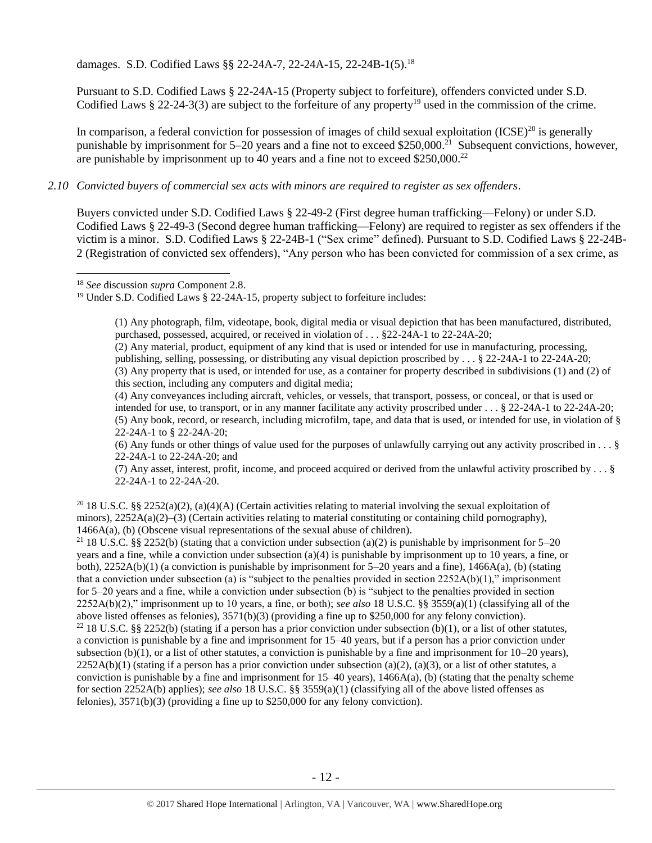damages. S.D. Codified Laws §§ 22-24A-7, 22-24A-15, 22-24B-1(5). 18

Pursuant to S.D. Codified Laws § 22-24A-15 (Property subject to forfeiture), offenders convicted under S.D. Codified Laws  $\S 22-24-3(3)$  are subject to the forfeiture of any property<sup>19</sup> used in the commission of the crime.

In comparison, a federal conviction for possession of images of child sexual exploitation  $(ICSE)^{20}$  is generally punishable by imprisonment for 5–20 years and a fine not to exceed \$250,000.<sup>21</sup> Subsequent convictions, however, are punishable by imprisonment up to 40 years and a fine not to exceed \$250,000.<sup>22</sup>

# *2.10 Convicted buyers of commercial sex acts with minors are required to register as sex offenders*.

Buyers convicted under S.D. Codified Laws § 22-49-2 (First degree human trafficking—Felony) or under S.D. Codified Laws § 22-49-3 (Second degree human trafficking—Felony) are required to register as sex offenders if the victim is a minor. S.D. Codified Laws § 22-24B-1 ("Sex crime" defined). Pursuant to S.D. Codified Laws § 22-24B-2 (Registration of convicted sex offenders), "Any person who has been convicted for commission of a sex crime, as

 $\overline{a}$ 

(1) Any photograph, film, videotape, book, digital media or visual depiction that has been manufactured, distributed, purchased, possessed, acquired, or received in violation of . . . §22-24A-1 to 22-24A-20;

(2) Any material, product, equipment of any kind that is used or intended for use in manufacturing, processing, publishing, selling, possessing, or distributing any visual depiction proscribed by . . . § 22-24A-1 to 22-24A-20; (3) Any property that is used, or intended for use, as a container for property described in subdivisions (1) and (2) of this section, including any computers and digital media;

(4) Any conveyances including aircraft, vehicles, or vessels, that transport, possess, or conceal, or that is used or intended for use, to transport, or in any manner facilitate any activity proscribed under . . . § 22-24A-1 to 22-24A-20; (5) Any book, record, or research, including microfilm, tape, and data that is used, or intended for use, in violation of § 22-24A-1 to § 22-24A-20;

(6) Any funds or other things of value used for the purposes of unlawfully carrying out any activity proscribed in  $\dots$  § 22-24A-1 to 22-24A-20; and

(7) Any asset, interest, profit, income, and proceed acquired or derived from the unlawful activity proscribed by . . . § 22-24A-1 to 22-24A-20.

<sup>20</sup> 18 U.S.C. §§ 2252(a)(2), (a)(4)(A) (Certain activities relating to material involving the sexual exploitation of minors),  $2252A(a)(2)$ –(3) (Certain activities relating to material constituting or containing child pornography), 1466A(a), (b) (Obscene visual representations of the sexual abuse of children).

<sup>21</sup> 18 U.S.C. §§ 2252(b) (stating that a conviction under subsection (a)(2) is punishable by imprisonment for 5–20 years and a fine, while a conviction under subsection (a)(4) is punishable by imprisonment up to 10 years, a fine, or both),  $2252A(b)(1)$  (a conviction is punishable by imprisonment for  $5-20$  years and a fine),  $1466A(a)$ , (b) (stating that a conviction under subsection (a) is "subject to the penalties provided in section  $2252A(b)(1)$ ," imprisonment for 5–20 years and a fine, while a conviction under subsection (b) is "subject to the penalties provided in section 2252A(b)(2)," imprisonment up to 10 years, a fine, or both); *see also* 18 U.S.C. §§ 3559(a)(1) (classifying all of the above listed offenses as felonies), 3571(b)(3) (providing a fine up to \$250,000 for any felony conviction). <sup>22</sup> 18 U.S.C. §§ 2252(b) (stating if a person has a prior conviction under subsection (b)(1), or a list of other statutes, a conviction is punishable by a fine and imprisonment for 15–40 years, but if a person has a prior conviction under subsection (b)(1), or a list of other statutes, a conviction is punishable by a fine and imprisonment for  $10-20$  years),  $2252A(b)(1)$  (stating if a person has a prior conviction under subsection (a)(2), (a)(3), or a list of other statutes, a conviction is punishable by a fine and imprisonment for  $15-40$  years),  $1466A(a)$ , (b) (stating that the penalty scheme for section 2252A(b) applies); *see also* 18 U.S.C. §§ 3559(a)(1) (classifying all of the above listed offenses as felonies), 3571(b)(3) (providing a fine up to \$250,000 for any felony conviction).

<sup>18</sup> *See* discussion *supra* Component 2.8.

<sup>&</sup>lt;sup>19</sup> Under S.D. Codified Laws § 22-24A-15, property subject to forfeiture includes: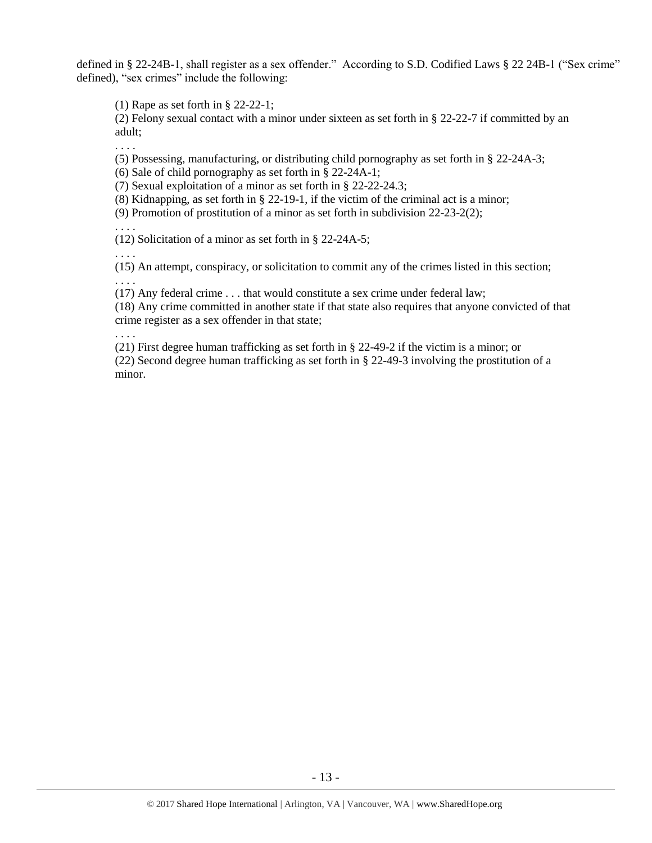defined in § 22-24B-1, shall register as a sex offender." According to S.D. Codified Laws § 22 24B-1 ("Sex crime" defined), "sex crimes" include the following:

(1) Rape as set forth in § 22-22-1;

(2) Felony sexual contact with a minor under sixteen as set forth in § 22-22-7 if committed by an adult;

(5) Possessing, manufacturing, or distributing child pornography as set forth in § 22-24A-3;

(6) Sale of child pornography as set forth in § 22-24A-1;

(7) Sexual exploitation of a minor as set forth in § 22-22-24.3;

(8) Kidnapping, as set forth in § 22-19-1, if the victim of the criminal act is a minor;

(9) Promotion of prostitution of a minor as set forth in subdivision 22-23-2(2);

. . . .

. . . .

(12) Solicitation of a minor as set forth in § 22-24A-5;

. . . .

(15) An attempt, conspiracy, or solicitation to commit any of the crimes listed in this section; . . . .

(17) Any federal crime . . . that would constitute a sex crime under federal law;

(18) Any crime committed in another state if that state also requires that anyone convicted of that crime register as a sex offender in that state;

. . . .

(21) First degree human trafficking as set forth in § 22-49-2 if the victim is a minor; or (22) Second degree human trafficking as set forth in § 22-49-3 involving the prostitution of a minor.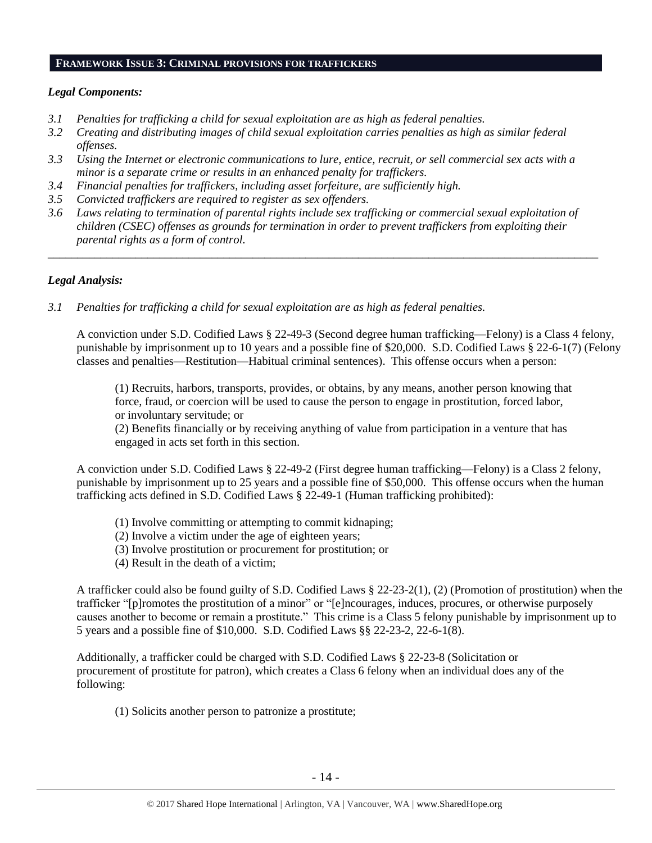#### **FRAMEWORK ISSUE 3: CRIMINAL PROVISIONS FOR TRAFFICKERS**

#### *Legal Components:*

- *3.1 Penalties for trafficking a child for sexual exploitation are as high as federal penalties.*
- *3.2 Creating and distributing images of child sexual exploitation carries penalties as high as similar federal offenses.*
- *3.3 Using the Internet or electronic communications to lure, entice, recruit, or sell commercial sex acts with a minor is a separate crime or results in an enhanced penalty for traffickers.*
- *3.4 Financial penalties for traffickers, including asset forfeiture, are sufficiently high.*
- *3.5 Convicted traffickers are required to register as sex offenders.*
- *3.6 Laws relating to termination of parental rights include sex trafficking or commercial sexual exploitation of children (CSEC) offenses as grounds for termination in order to prevent traffickers from exploiting their parental rights as a form of control.*

*\_\_\_\_\_\_\_\_\_\_\_\_\_\_\_\_\_\_\_\_\_\_\_\_\_\_\_\_\_\_\_\_\_\_\_\_\_\_\_\_\_\_\_\_\_\_\_\_\_\_\_\_\_\_\_\_\_\_\_\_\_\_\_\_\_\_\_\_\_\_\_\_\_\_\_\_\_\_\_\_\_\_\_\_\_\_\_\_\_\_\_\_\_\_*

## *Legal Analysis:*

*3.1 Penalties for trafficking a child for sexual exploitation are as high as federal penalties.* 

A conviction under S.D. Codified Laws § 22-49-3 (Second degree human trafficking—Felony) is a Class 4 felony, punishable by imprisonment up to 10 years and a possible fine of \$20,000. S.D. Codified Laws § 22-6-1(7) (Felony classes and penalties—Restitution—Habitual criminal sentences). This offense occurs when a person:

(1) Recruits, harbors, transports, provides, or obtains, by any means, another person knowing that force, fraud, or coercion will be used to cause the person to engage in prostitution, forced labor, or involuntary servitude; or

(2) Benefits financially or by receiving anything of value from participation in a venture that has engaged in acts set forth in this section.

A conviction under S.D. Codified Laws § 22-49-2 (First degree human trafficking—Felony) is a Class 2 felony, punishable by imprisonment up to 25 years and a possible fine of \$50,000. This offense occurs when the human trafficking acts defined in S.D. Codified Laws § 22-49-1 (Human trafficking prohibited):

- (1) Involve committing or attempting to commit kidnaping;
- (2) Involve a victim under the age of eighteen years;
- (3) Involve prostitution or procurement for prostitution; or
- (4) Result in the death of a victim;

A trafficker could also be found guilty of S.D. Codified Laws § 22-23-2(1), (2) (Promotion of prostitution) when the trafficker "[p]romotes the prostitution of a minor" or "[e]ncourages, induces, procures, or otherwise purposely causes another to become or remain a prostitute." This crime is a Class 5 felony punishable by imprisonment up to 5 years and a possible fine of \$10,000. S.D. Codified Laws §§ 22-23-2, 22-6-1(8).

Additionally, a trafficker could be charged with S.D. Codified Laws § 22-23-8 (Solicitation or procurement of prostitute for patron), which creates a Class 6 felony when an individual does any of the following:

(1) Solicits another person to patronize a prostitute;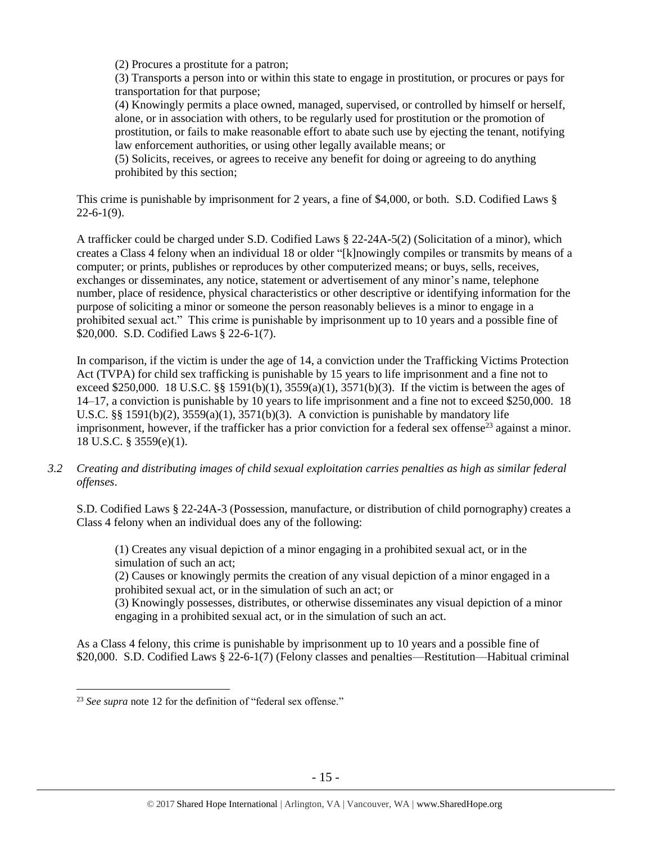(2) Procures a prostitute for a patron;

(3) Transports a person into or within this state to engage in prostitution, or procures or pays for transportation for that purpose;

(4) Knowingly permits a place owned, managed, supervised, or controlled by himself or herself, alone, or in association with others, to be regularly used for prostitution or the promotion of prostitution, or fails to make reasonable effort to abate such use by ejecting the tenant, notifying law enforcement authorities, or using other legally available means; or

(5) Solicits, receives, or agrees to receive any benefit for doing or agreeing to do anything prohibited by this section;

This crime is punishable by imprisonment for 2 years, a fine of \$4,000, or both. S.D. Codified Laws §  $22-6-1(9)$ .

A trafficker could be charged under S.D. Codified Laws § 22-24A-5(2) (Solicitation of a minor), which creates a Class 4 felony when an individual 18 or older "[k]nowingly compiles or transmits by means of a computer; or prints, publishes or reproduces by other computerized means; or buys, sells, receives, exchanges or disseminates, any notice, statement or advertisement of any minor's name, telephone number, place of residence, physical characteristics or other descriptive or identifying information for the purpose of soliciting a minor or someone the person reasonably believes is a minor to engage in a prohibited sexual act." This crime is punishable by imprisonment up to 10 years and a possible fine of \$20,000. S.D. Codified Laws § 22-6-1(7).

In comparison, if the victim is under the age of 14, a conviction under the Trafficking Victims Protection Act (TVPA) for child sex trafficking is punishable by 15 years to life imprisonment and a fine not to exceed \$250,000. 18 U.S.C. §§ 1591(b)(1),  $3559(a)(1)$ ,  $3571(b)(3)$ . If the victim is between the ages of 14–17, a conviction is punishable by 10 years to life imprisonment and a fine not to exceed \$250,000. 18 U.S.C. §§ 1591(b)(2),  $3559(a)(1)$ ,  $3571(b)(3)$ . A conviction is punishable by mandatory life imprisonment, however, if the trafficker has a prior conviction for a federal sex offense<sup>23</sup> against a minor. 18 U.S.C. § 3559(e)(1).

*3.2 Creating and distributing images of child sexual exploitation carries penalties as high as similar federal offenses*.

S.D. Codified Laws § 22-24A-3 (Possession, manufacture, or distribution of child pornography) creates a Class 4 felony when an individual does any of the following:

(1) Creates any visual depiction of a minor engaging in a prohibited sexual act, or in the simulation of such an act;

(2) Causes or knowingly permits the creation of any visual depiction of a minor engaged in a prohibited sexual act, or in the simulation of such an act; or

(3) Knowingly possesses, distributes, or otherwise disseminates any visual depiction of a minor engaging in a prohibited sexual act, or in the simulation of such an act.

As a Class 4 felony, this crime is punishable by imprisonment up to 10 years and a possible fine of \$20,000. S.D. Codified Laws § 22-6-1(7) (Felony classes and penalties—Restitution—Habitual criminal

 $\overline{a}$ <sup>23</sup> *See supra* note [12](#page-7-0) for the definition of "federal sex offense."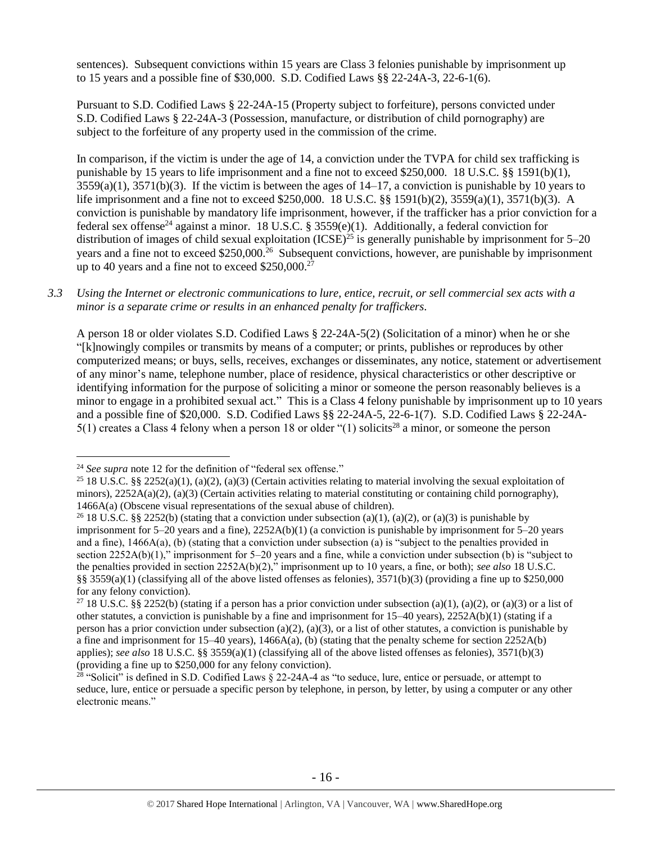sentences). Subsequent convictions within 15 years are Class 3 felonies punishable by imprisonment up to 15 years and a possible fine of \$30,000. S.D. Codified Laws §§ 22-24A-3, 22-6-1(6).

Pursuant to S.D. Codified Laws § 22-24A-15 (Property subject to forfeiture), persons convicted under S.D. Codified Laws § 22-24A-3 (Possession, manufacture, or distribution of child pornography) are subject to the forfeiture of any property used in the commission of the crime.

In comparison, if the victim is under the age of 14, a conviction under the TVPA for child sex trafficking is punishable by 15 years to life imprisonment and a fine not to exceed \$250,000. 18 U.S.C. §§ 1591(b)(1),  $3559(a)(1)$ ,  $3571(b)(3)$ . If the victim is between the ages of  $14-17$ , a conviction is punishable by 10 years to life imprisonment and a fine not to exceed \$250,000. 18 U.S.C. §§ 1591(b)(2), 3559(a)(1), 3571(b)(3). A conviction is punishable by mandatory life imprisonment, however, if the trafficker has a prior conviction for a federal sex offense<sup>24</sup> against a minor. 18 U.S.C. § 3559(e)(1). Additionally, a federal conviction for distribution of images of child sexual exploitation  $(ICSE)^{25}$  is generally punishable by imprisonment for 5–20 years and a fine not to exceed \$250,000.<sup>26</sup> Subsequent convictions, however, are punishable by imprisonment up to 40 years and a fine not to exceed  $$250,000.<sup>27</sup>$ 

*3.3 Using the Internet or electronic communications to lure, entice, recruit, or sell commercial sex acts with a minor is a separate crime or results in an enhanced penalty for traffickers.*

A person 18 or older violates S.D. Codified Laws § 22-24A-5(2) (Solicitation of a minor) when he or she "[k]nowingly compiles or transmits by means of a computer; or prints, publishes or reproduces by other computerized means; or buys, sells, receives, exchanges or disseminates, any notice, statement or advertisement of any minor's name, telephone number, place of residence, physical characteristics or other descriptive or identifying information for the purpose of soliciting a minor or someone the person reasonably believes is a minor to engage in a prohibited sexual act." This is a Class 4 felony punishable by imprisonment up to 10 years and a possible fine of \$20,000. S.D. Codified Laws §§ 22-24A-5, 22-6-1(7). S.D. Codified Laws § 22-24A- $5(1)$  creates a Class 4 felony when a person 18 or older "(1) solicits<sup>28</sup> a minor, or someone the person

<sup>24</sup> *See supra* note [12](#page-7-0) for the definition of "federal sex offense."

<sup>&</sup>lt;sup>25</sup> 18 U.S.C. §§ 2252(a)(1), (a)(2), (a)(3) (Certain activities relating to material involving the sexual exploitation of minors),  $2252A(a)(2)$ , (a)(3) (Certain activities relating to material constituting or containing child pornography), 1466A(a) (Obscene visual representations of the sexual abuse of children).

<sup>&</sup>lt;sup>26</sup> 18 U.S.C. §§ 2252(b) (stating that a conviction under subsection (a)(1), (a)(2), or (a)(3) is punishable by imprisonment for 5–20 years and a fine), 2252A(b)(1) (a conviction is punishable by imprisonment for 5–20 years and a fine), 1466A(a), (b) (stating that a conviction under subsection (a) is "subject to the penalties provided in section 2252A(b)(1)," imprisonment for 5–20 years and a fine, while a conviction under subsection (b) is "subject to the penalties provided in section 2252A(b)(2)," imprisonment up to 10 years, a fine, or both); *see also* 18 U.S.C. §§ 3559(a)(1) (classifying all of the above listed offenses as felonies),  $3571(b)(3)$  (providing a fine up to \$250,000 for any felony conviction).

<sup>&</sup>lt;sup>27</sup> 18 U.S.C. §§ 2252(b) (stating if a person has a prior conviction under subsection (a)(1), (a)(2), or (a)(3) or a list of other statutes, a conviction is punishable by a fine and imprisonment for 15–40 years), 2252A(b)(1) (stating if a person has a prior conviction under subsection (a)(2), (a)(3), or a list of other statutes, a conviction is punishable by a fine and imprisonment for  $15-40$  years),  $1466A(a)$ , (b) (stating that the penalty scheme for section  $2252A(b)$ applies); *see also* 18 U.S.C. §§ 3559(a)(1) (classifying all of the above listed offenses as felonies), 3571(b)(3) (providing a fine up to \$250,000 for any felony conviction).

 $28$  "Solicit" is defined in S.D. Codified Laws § 22-24A-4 as "to seduce, lure, entice or persuade, or attempt to seduce, lure, entice or persuade a specific person by telephone, in person, by letter, by using a computer or any other electronic means."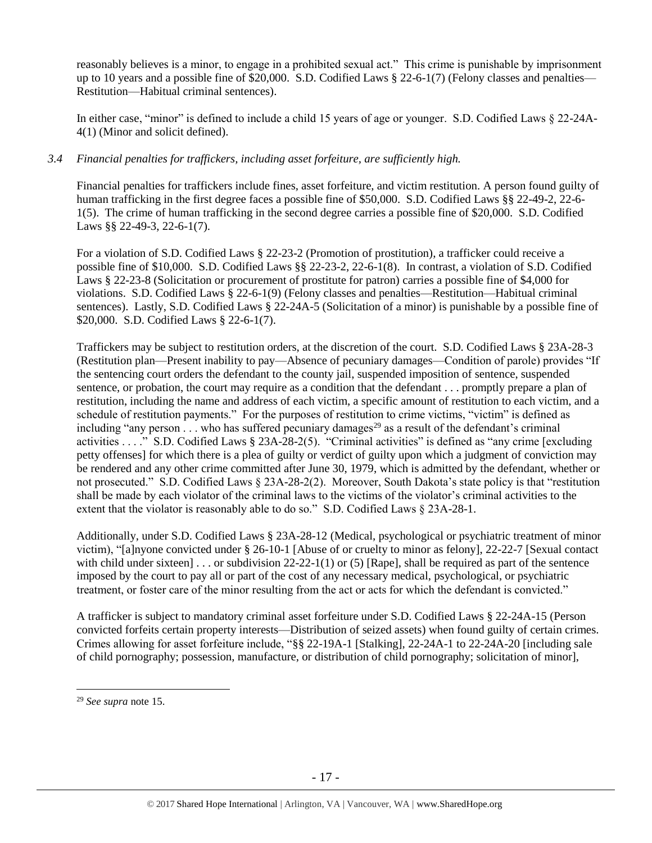reasonably believes is a minor, to engage in a prohibited sexual act." This crime is punishable by imprisonment up to 10 years and a possible fine of \$20,000. S.D. Codified Laws § 22-6-1(7) (Felony classes and penalties— Restitution—Habitual criminal sentences).

In either case, "minor" is defined to include a child 15 years of age or younger. S.D. Codified Laws § 22-24A-4(1) (Minor and solicit defined).

# *3.4 Financial penalties for traffickers, including asset forfeiture, are sufficiently high.*

Financial penalties for traffickers include fines, asset forfeiture, and victim restitution. A person found guilty of human trafficking in the first degree faces a possible fine of \$50,000. S.D. Codified Laws §§ 22-49-2, 22-6- 1(5). The crime of human trafficking in the second degree carries a possible fine of \$20,000. S.D. Codified Laws §§ 22-49-3, 22-6-1(7).

For a violation of S.D. Codified Laws § 22-23-2 (Promotion of prostitution), a trafficker could receive a possible fine of \$10,000. S.D. Codified Laws §§ 22-23-2, 22-6-1(8). In contrast, a violation of S.D. Codified Laws § 22-23-8 (Solicitation or procurement of prostitute for patron) carries a possible fine of \$4,000 for violations. S.D. Codified Laws § 22-6-1(9) (Felony classes and penalties—Restitution—Habitual criminal sentences). Lastly, S.D. Codified Laws § 22-24A-5 (Solicitation of a minor) is punishable by a possible fine of \$20,000. S.D. Codified Laws § 22-6-1(7).

Traffickers may be subject to restitution orders, at the discretion of the court. S.D. Codified Laws § 23A-28-3 (Restitution plan—Present inability to pay—Absence of pecuniary damages—Condition of parole) provides "If the sentencing court orders the defendant to the county jail, suspended imposition of sentence, suspended sentence, or probation, the court may require as a condition that the defendant . . . promptly prepare a plan of restitution, including the name and address of each victim, a specific amount of restitution to each victim, and a schedule of restitution payments." For the purposes of restitution to crime victims, "victim" is defined as including "any person  $\dots$  who has suffered pecuniary damages<sup>29</sup> as a result of the defendant's criminal activities . . . ." S.D. Codified Laws § 23A-28-2(5). "Criminal activities" is defined as "any crime [excluding petty offenses] for which there is a plea of guilty or verdict of guilty upon which a judgment of conviction may be rendered and any other crime committed after June 30, 1979, which is admitted by the defendant, whether or not prosecuted." S.D. Codified Laws § 23A-28-2(2). Moreover, South Dakota's state policy is that "restitution shall be made by each violator of the criminal laws to the victims of the violator's criminal activities to the extent that the violator is reasonably able to do so." S.D. Codified Laws § 23A-28-1.

Additionally, under S.D. Codified Laws § 23A-28-12 (Medical, psychological or psychiatric treatment of minor victim), "[a]nyone convicted under § 26-10-1 [Abuse of or cruelty to minor as felony], 22-22-7 [Sexual contact with child under sixteen] . . . or subdivision 22-22-1(1) or (5) [Rape], shall be required as part of the sentence imposed by the court to pay all or part of the cost of any necessary medical, psychological, or psychiatric treatment, or foster care of the minor resulting from the act or acts for which the defendant is convicted."

A trafficker is subject to mandatory criminal asset forfeiture under S.D. Codified Laws § 22-24A-15 (Person convicted forfeits certain property interests—Distribution of seized assets) when found guilty of certain crimes. Crimes allowing for asset forfeiture include, "§§ 22-19A-1 [Stalking], 22-24A-1 to 22-24A-20 [including sale of child pornography; possession, manufacture, or distribution of child pornography; solicitation of minor],

<sup>29</sup> *See supra* note [15.](#page-8-0)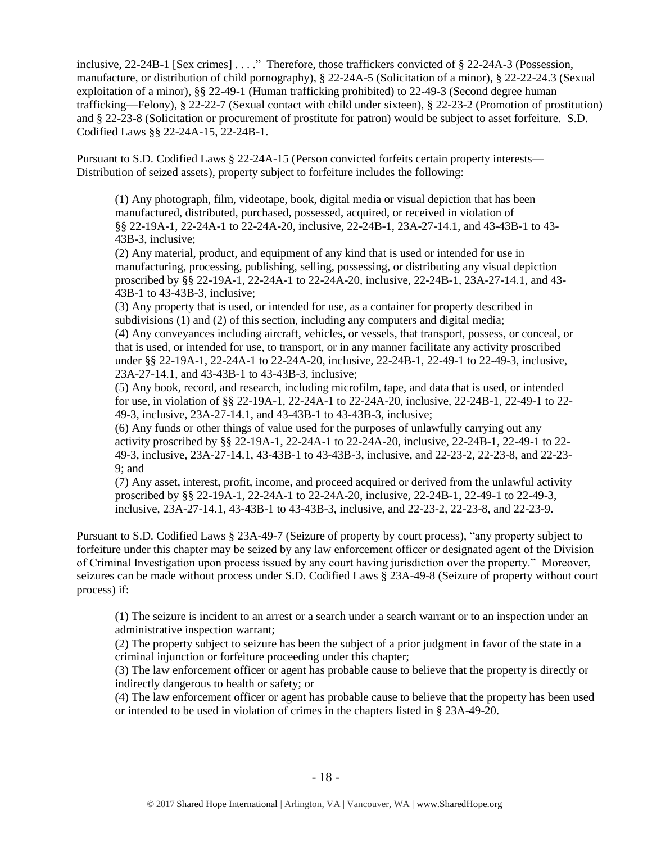inclusive, 22-24B-1 [Sex crimes] . . . ." Therefore, those traffickers convicted of § 22-24A-3 (Possession, manufacture, or distribution of child pornography), § 22-24A-5 (Solicitation of a minor), § 22-22-24.3 (Sexual exploitation of a minor), §§ 22-49-1 (Human trafficking prohibited) to 22-49-3 (Second degree human trafficking—Felony), § 22-22-7 (Sexual contact with child under sixteen), § 22-23-2 (Promotion of prostitution) and § 22-23-8 (Solicitation or procurement of prostitute for patron) would be subject to asset forfeiture. S.D. Codified Laws §§ 22-24A-15, 22-24B-1.

Pursuant to S.D. Codified Laws § 22-24A-15 (Person convicted forfeits certain property interests— Distribution of seized assets), property subject to forfeiture includes the following:

(1) Any photograph, film, videotape, book, digital media or visual depiction that has been manufactured, distributed, purchased, possessed, acquired, or received in violation of §§ 22-19A-1, 22-24A-1 to 22-24A-20, inclusive, 22-24B-1, 23A-27-14.1, and 43-43B-1 to 43- 43B-3, inclusive;

(2) Any material, product, and equipment of any kind that is used or intended for use in manufacturing, processing, publishing, selling, possessing, or distributing any visual depiction proscribed by §§ 22-19A-1, 22-24A-1 to 22-24A-20, inclusive, 22-24B-1, 23A-27-14.1, and 43- 43B-1 to 43-43B-3, inclusive;

(3) Any property that is used, or intended for use, as a container for property described in subdivisions (1) and (2) of this section, including any computers and digital media; (4) Any conveyances including aircraft, vehicles, or vessels, that transport, possess, or conceal, or that is used, or intended for use, to transport, or in any manner facilitate any activity proscribed under §§ 22-19A-1, 22-24A-1 to 22-24A-20, inclusive, 22-24B-1, 22-49-1 to 22-49-3, inclusive, 23A-27-14.1, and 43-43B-1 to 43-43B-3, inclusive;

(5) Any book, record, and research, including microfilm, tape, and data that is used, or intended for use, in violation of §§ 22-19A-1, 22-24A-1 to 22-24A-20, inclusive, 22-24B-1, 22-49-1 to 22- 49-3, inclusive, 23A-27-14.1, and 43-43B-1 to 43-43B-3, inclusive;

(6) Any funds or other things of value used for the purposes of unlawfully carrying out any activity proscribed by §§ 22-19A-1, 22-24A-1 to 22-24A-20, inclusive, 22-24B-1, 22-49-1 to 22- 49-3, inclusive, 23A-27-14.1, 43-43B-1 to 43-43B-3, inclusive, and 22-23-2, 22-23-8, and 22-23- 9; and

(7) Any asset, interest, profit, income, and proceed acquired or derived from the unlawful activity proscribed by §§ 22-19A-1, 22-24A-1 to 22-24A-20, inclusive, 22-24B-1, 22-49-1 to 22-49-3, inclusive, 23A-27-14.1, 43-43B-1 to 43-43B-3, inclusive, and 22-23-2, 22-23-8, and 22-23-9.

Pursuant to S.D. Codified Laws § 23A-49-7 (Seizure of property by court process), "any property subject to forfeiture under this chapter may be seized by any law enforcement officer or designated agent of the Division of Criminal Investigation upon process issued by any court having jurisdiction over the property." Moreover, seizures can be made without process under S.D. Codified Laws § 23A-49-8 (Seizure of property without court process) if:

(1) The seizure is incident to an arrest or a search under a search warrant or to an inspection under an administrative inspection warrant;

(2) The property subject to seizure has been the subject of a prior judgment in favor of the state in a criminal injunction or forfeiture proceeding under this chapter;

(3) The law enforcement officer or agent has probable cause to believe that the property is directly or indirectly dangerous to health or safety; or

(4) The law enforcement officer or agent has probable cause to believe that the property has been used or intended to be used in violation of crimes in the chapters listed in § 23A-49-20.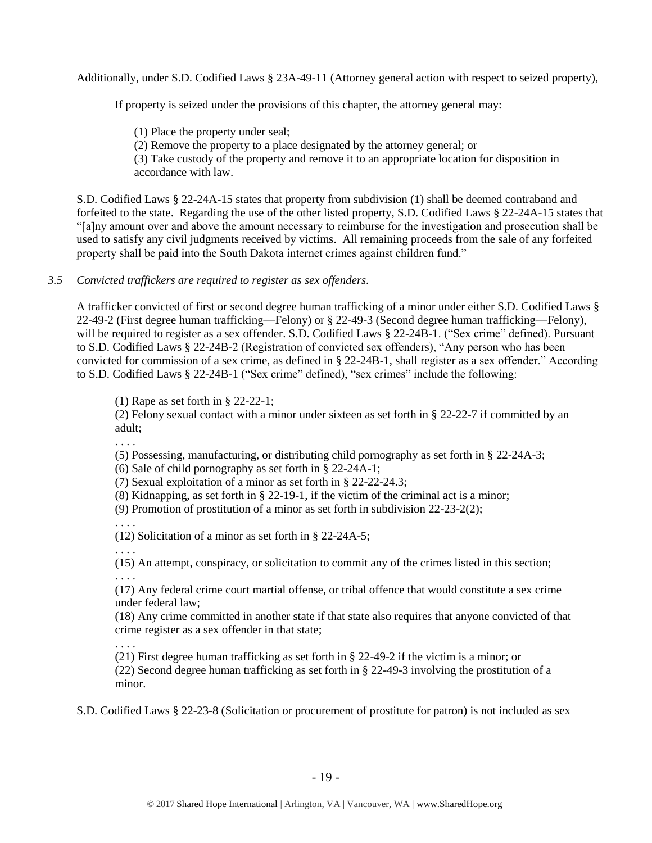Additionally, under S.D. Codified Laws § 23A-49-11 (Attorney general action with respect to seized property),

If property is seized under the provisions of this chapter, the attorney general may:

(1) Place the property under seal;

(2) Remove the property to a place designated by the attorney general; or

(3) Take custody of the property and remove it to an appropriate location for disposition in accordance with law.

S.D. Codified Laws § 22-24A-15 states that property from subdivision (1) shall be deemed contraband and forfeited to the state. Regarding the use of the other listed property, S.D. Codified Laws § 22-24A-15 states that "[a]ny amount over and above the amount necessary to reimburse for the investigation and prosecution shall be used to satisfy any civil judgments received by victims. All remaining proceeds from the sale of any forfeited property shall be paid into the South Dakota internet crimes against children fund."

# *3.5 Convicted traffickers are required to register as sex offenders.*

A trafficker convicted of first or second degree human trafficking of a minor under either S.D. Codified Laws § 22-49-2 (First degree human trafficking—Felony) or § 22-49-3 (Second degree human trafficking—Felony), will be required to register as a sex offender. S.D. Codified Laws § 22-24B-1. ("Sex crime" defined). Pursuant to S.D. Codified Laws § 22-24B-2 (Registration of convicted sex offenders), "Any person who has been convicted for commission of a sex crime, as defined in § 22-24B-1, shall register as a sex offender." According to S.D. Codified Laws § 22-24B-1 ("Sex crime" defined), "sex crimes" include the following:

(1) Rape as set forth in § 22-22-1;

(2) Felony sexual contact with a minor under sixteen as set forth in § 22-22-7 if committed by an adult;

. . . .

(5) Possessing, manufacturing, or distributing child pornography as set forth in § 22-24A-3;

(6) Sale of child pornography as set forth in § 22-24A-1;

(7) Sexual exploitation of a minor as set forth in § 22-22-24.3;

(8) Kidnapping, as set forth in § 22-19-1, if the victim of the criminal act is a minor;

(9) Promotion of prostitution of a minor as set forth in subdivision 22-23-2(2);

. . . .

. . . .

(12) Solicitation of a minor as set forth in § 22-24A-5;

. . . . (15) An attempt, conspiracy, or solicitation to commit any of the crimes listed in this section;

(17) Any federal crime court martial offense, or tribal offence that would constitute a sex crime under federal law;

(18) Any crime committed in another state if that state also requires that anyone convicted of that crime register as a sex offender in that state;

. . . . (21) First degree human trafficking as set forth in § 22-49-2 if the victim is a minor; or (22) Second degree human trafficking as set forth in § 22-49-3 involving the prostitution of a minor.

S.D. Codified Laws § 22-23-8 (Solicitation or procurement of prostitute for patron) is not included as sex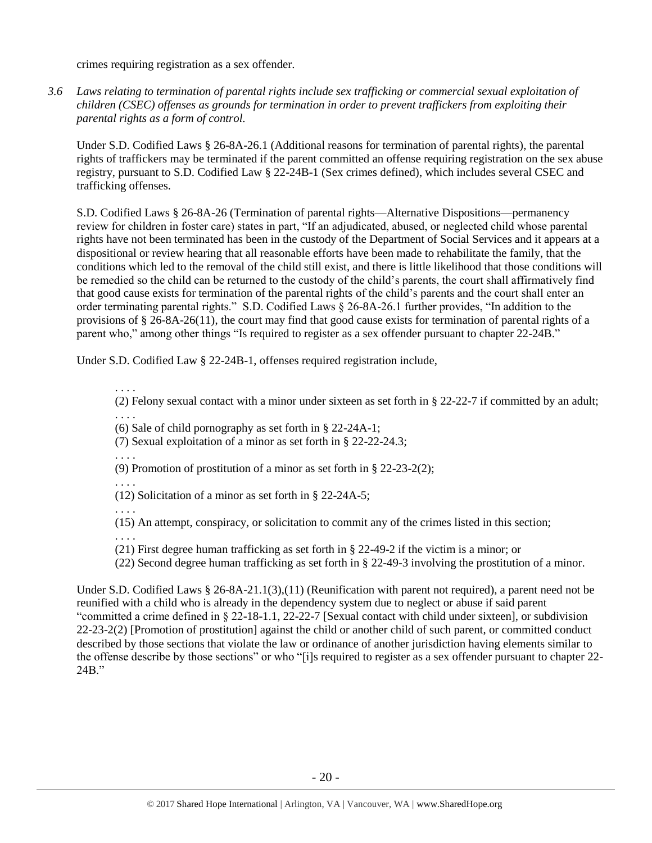crimes requiring registration as a sex offender.

*3.6 Laws relating to termination of parental rights include sex trafficking or commercial sexual exploitation of children (CSEC) offenses as grounds for termination in order to prevent traffickers from exploiting their parental rights as a form of control.*

Under S.D. Codified Laws § 26-8A-26.1 (Additional reasons for termination of parental rights), the parental rights of traffickers may be terminated if the parent committed an offense requiring registration on the sex abuse registry, pursuant to S.D. Codified Law § 22-24B-1 (Sex crimes defined), which includes several CSEC and trafficking offenses.

S.D. Codified Laws § 26-8A-26 (Termination of parental rights—Alternative Dispositions—permanency review for children in foster care) states in part, "If an adjudicated, abused, or neglected child whose parental rights have not been terminated has been in the custody of the Department of Social Services and it appears at a dispositional or review hearing that all reasonable efforts have been made to rehabilitate the family, that the conditions which led to the removal of the child still exist, and there is little likelihood that those conditions will be remedied so the child can be returned to the custody of the child's parents, the court shall affirmatively find that good cause exists for termination of the parental rights of the child's parents and the court shall enter an order terminating parental rights." S.D. Codified Laws § 26-8A-26.1 further provides, "In addition to the provisions of § 26-8A-26(11), the court may find that good cause exists for termination of parental rights of a parent who," among other things "Is required to register as a sex offender pursuant to chapter 22-24B."

Under S.D. Codified Law § 22-24B-1, offenses required registration include,

. . . . (2) Felony sexual contact with a minor under sixteen as set forth in § 22-22-7 if committed by an adult; . . . .

(6) Sale of child pornography as set forth in § 22-24A-1;

(7) Sexual exploitation of a minor as set forth in § 22-22-24.3;

. . . .

(9) Promotion of prostitution of a minor as set forth in § 22-23-2(2);

. . . .

(12) Solicitation of a minor as set forth in § 22-24A-5;

. . . .

(15) An attempt, conspiracy, or solicitation to commit any of the crimes listed in this section;

. . . . (21) First degree human trafficking as set forth in § 22-49-2 if the victim is a minor; or

(22) Second degree human trafficking as set forth in § 22-49-3 involving the prostitution of a minor.

Under S.D. Codified Laws § 26-8A-21.1(3),(11) (Reunification with parent not required), a parent need not be reunified with a child who is already in the dependency system due to neglect or abuse if said parent "committed a crime defined in § 22-18-1.1, 22-22-7 [Sexual contact with child under sixteen], or subdivision 22-23-2(2) [Promotion of prostitution] against the child or another child of such parent, or committed conduct described by those sections that violate the law or ordinance of another jurisdiction having elements similar to the offense describe by those sections" or who "[i]s required to register as a sex offender pursuant to chapter 22- 24B."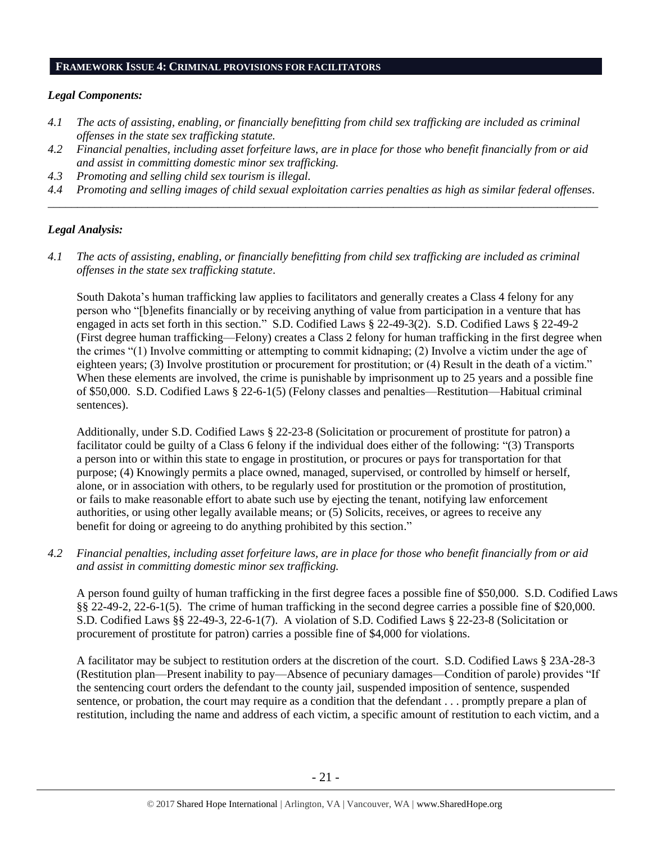#### **FRAMEWORK ISSUE 4: CRIMINAL PROVISIONS FOR FACILITATORS**

#### *Legal Components:*

- *4.1 The acts of assisting, enabling, or financially benefitting from child sex trafficking are included as criminal offenses in the state sex trafficking statute.*
- *4.2 Financial penalties, including asset forfeiture laws, are in place for those who benefit financially from or aid and assist in committing domestic minor sex trafficking.*
- *4.3 Promoting and selling child sex tourism is illegal.*
- *4.4 Promoting and selling images of child sexual exploitation carries penalties as high as similar federal offenses. \_\_\_\_\_\_\_\_\_\_\_\_\_\_\_\_\_\_\_\_\_\_\_\_\_\_\_\_\_\_\_\_\_\_\_\_\_\_\_\_\_\_\_\_\_\_\_\_\_\_\_\_\_\_\_\_\_\_\_\_\_\_\_\_\_\_\_\_\_\_\_\_\_\_\_\_\_\_\_\_\_\_\_\_\_\_\_\_\_\_\_\_\_\_*

## *Legal Analysis:*

*4.1 The acts of assisting, enabling, or financially benefitting from child sex trafficking are included as criminal offenses in the state sex trafficking statute*.

South Dakota's human trafficking law applies to facilitators and generally creates a Class 4 felony for any person who "[b]enefits financially or by receiving anything of value from participation in a venture that has engaged in acts set forth in this section." S.D. Codified Laws § 22-49-3(2). S.D. Codified Laws § 22-49-2 (First degree human trafficking—Felony) creates a Class 2 felony for human trafficking in the first degree when the crimes "(1) Involve committing or attempting to commit kidnaping; (2) Involve a victim under the age of eighteen years; (3) Involve prostitution or procurement for prostitution; or (4) Result in the death of a victim." When these elements are involved, the crime is punishable by imprisonment up to 25 years and a possible fine of \$50,000. S.D. Codified Laws § 22-6-1(5) (Felony classes and penalties—Restitution—Habitual criminal sentences).

Additionally, under S.D. Codified Laws § 22-23-8 (Solicitation or procurement of prostitute for patron) a facilitator could be guilty of a Class 6 felony if the individual does either of the following: "(3) Transports a person into or within this state to engage in prostitution, or procures or pays for transportation for that purpose; (4) Knowingly permits a place owned, managed, supervised, or controlled by himself or herself, alone, or in association with others, to be regularly used for prostitution or the promotion of prostitution, or fails to make reasonable effort to abate such use by ejecting the tenant, notifying law enforcement authorities, or using other legally available means; or (5) Solicits, receives, or agrees to receive any benefit for doing or agreeing to do anything prohibited by this section."

*4.2 Financial penalties, including asset forfeiture laws, are in place for those who benefit financially from or aid and assist in committing domestic minor sex trafficking.*

A person found guilty of human trafficking in the first degree faces a possible fine of \$50,000. S.D. Codified Laws §§ 22-49-2, 22-6-1(5). The crime of human trafficking in the second degree carries a possible fine of \$20,000. S.D. Codified Laws §§ 22-49-3, 22-6-1(7). A violation of S.D. Codified Laws § 22-23-8 (Solicitation or procurement of prostitute for patron) carries a possible fine of \$4,000 for violations.

A facilitator may be subject to restitution orders at the discretion of the court. S.D. Codified Laws § 23A-28-3 (Restitution plan—Present inability to pay—Absence of pecuniary damages—Condition of parole) provides "If the sentencing court orders the defendant to the county jail, suspended imposition of sentence, suspended sentence, or probation, the court may require as a condition that the defendant . . . promptly prepare a plan of restitution, including the name and address of each victim, a specific amount of restitution to each victim, and a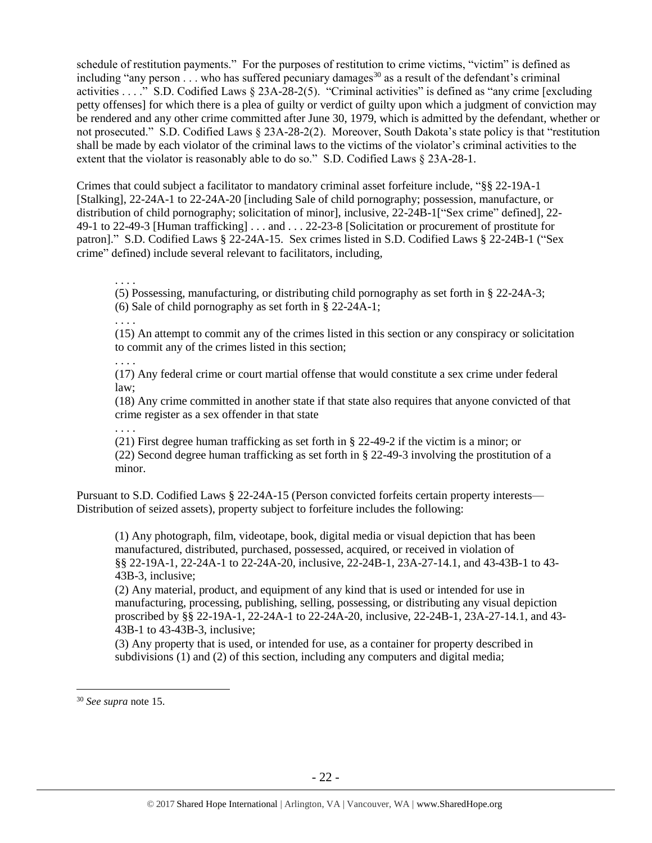schedule of restitution payments." For the purposes of restitution to crime victims, "victim" is defined as including "any person  $\ldots$  who has suffered pecuniary damages<sup>30</sup> as a result of the defendant's criminal activities . . . ." S.D. Codified Laws § 23A-28-2(5). "Criminal activities" is defined as "any crime [excluding petty offenses] for which there is a plea of guilty or verdict of guilty upon which a judgment of conviction may be rendered and any other crime committed after June 30, 1979, which is admitted by the defendant, whether or not prosecuted." S.D. Codified Laws § 23A-28-2(2). Moreover, South Dakota's state policy is that "restitution shall be made by each violator of the criminal laws to the victims of the violator's criminal activities to the extent that the violator is reasonably able to do so." S.D. Codified Laws § 23A-28-1.

Crimes that could subject a facilitator to mandatory criminal asset forfeiture include, "§§ 22-19A-1 [Stalking], 22-24A-1 to 22-24A-20 [including Sale of child pornography; possession, manufacture, or distribution of child pornography; solicitation of minor], inclusive, 22-24B-1["Sex crime" defined], 22- 49-1 to 22-49-3 [Human trafficking] . . . and . . . 22-23-8 [Solicitation or procurement of prostitute for patron]." S.D. Codified Laws § 22-24A-15. Sex crimes listed in S.D. Codified Laws § 22-24B-1 ("Sex crime" defined) include several relevant to facilitators, including,

. . . .

(5) Possessing, manufacturing, or distributing child pornography as set forth in § 22-24A-3;

(6) Sale of child pornography as set forth in § 22-24A-1;

. . . .

(15) An attempt to commit any of the crimes listed in this section or any conspiracy or solicitation to commit any of the crimes listed in this section;

. . . . (17) Any federal crime or court martial offense that would constitute a sex crime under federal law;

(18) Any crime committed in another state if that state also requires that anyone convicted of that crime register as a sex offender in that state

. . . . (21) First degree human trafficking as set forth in § 22-49-2 if the victim is a minor; or (22) Second degree human trafficking as set forth in § 22-49-3 involving the prostitution of a minor.

Pursuant to S.D. Codified Laws § 22-24A-15 (Person convicted forfeits certain property interests— Distribution of seized assets), property subject to forfeiture includes the following:

(1) Any photograph, film, videotape, book, digital media or visual depiction that has been manufactured, distributed, purchased, possessed, acquired, or received in violation of §§ 22-19A-1, 22-24A-1 to 22-24A-20, inclusive, 22-24B-1, 23A-27-14.1, and 43-43B-1 to 43- 43B-3, inclusive;

(2) Any material, product, and equipment of any kind that is used or intended for use in manufacturing, processing, publishing, selling, possessing, or distributing any visual depiction proscribed by §§ 22-19A-1, 22-24A-1 to 22-24A-20, inclusive, 22-24B-1, 23A-27-14.1, and 43- 43B-1 to 43-43B-3, inclusive;

(3) Any property that is used, or intended for use, as a container for property described in subdivisions (1) and (2) of this section, including any computers and digital media;

<sup>30</sup> *See supra* note [15.](#page-8-0)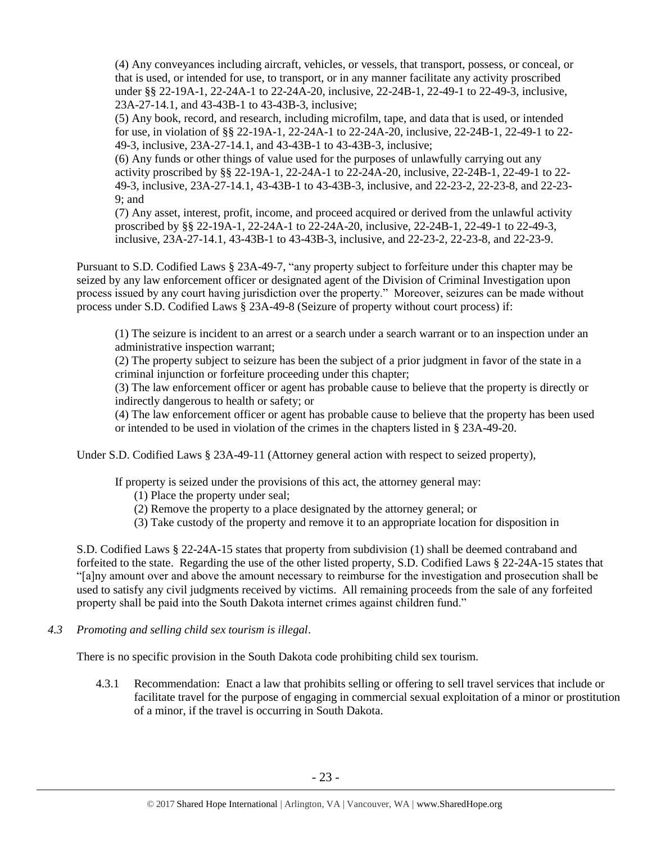(4) Any conveyances including aircraft, vehicles, or vessels, that transport, possess, or conceal, or that is used, or intended for use, to transport, or in any manner facilitate any activity proscribed under §§ 22-19A-1, 22-24A-1 to 22-24A-20, inclusive, 22-24B-1, 22-49-1 to 22-49-3, inclusive, 23A-27-14.1, and 43-43B-1 to 43-43B-3, inclusive;

(5) Any book, record, and research, including microfilm, tape, and data that is used, or intended for use, in violation of §§ 22-19A-1, 22-24A-1 to 22-24A-20, inclusive, 22-24B-1, 22-49-1 to 22- 49-3, inclusive, 23A-27-14.1, and 43-43B-1 to 43-43B-3, inclusive;

(6) Any funds or other things of value used for the purposes of unlawfully carrying out any activity proscribed by §§ 22-19A-1, 22-24A-1 to 22-24A-20, inclusive, 22-24B-1, 22-49-1 to 22- 49-3, inclusive, 23A-27-14.1, 43-43B-1 to 43-43B-3, inclusive, and 22-23-2, 22-23-8, and 22-23- 9; and

(7) Any asset, interest, profit, income, and proceed acquired or derived from the unlawful activity proscribed by §§ 22-19A-1, 22-24A-1 to 22-24A-20, inclusive, 22-24B-1, 22-49-1 to 22-49-3, inclusive, 23A-27-14.1, 43-43B-1 to 43-43B-3, inclusive, and 22-23-2, 22-23-8, and 22-23-9.

Pursuant to S.D. Codified Laws § 23A-49-7, "any property subject to forfeiture under this chapter may be seized by any law enforcement officer or designated agent of the Division of Criminal Investigation upon process issued by any court having jurisdiction over the property." Moreover, seizures can be made without process under S.D. Codified Laws § 23A-49-8 (Seizure of property without court process) if:

(1) The seizure is incident to an arrest or a search under a search warrant or to an inspection under an administrative inspection warrant;

(2) The property subject to seizure has been the subject of a prior judgment in favor of the state in a criminal injunction or forfeiture proceeding under this chapter;

(3) The law enforcement officer or agent has probable cause to believe that the property is directly or indirectly dangerous to health or safety; or

(4) The law enforcement officer or agent has probable cause to believe that the property has been used or intended to be used in violation of the crimes in the chapters listed in § 23A-49-20.

Under S.D. Codified Laws § 23A-49-11 (Attorney general action with respect to seized property),

If property is seized under the provisions of this act, the attorney general may:

- (1) Place the property under seal;
- (2) Remove the property to a place designated by the attorney general; or
- (3) Take custody of the property and remove it to an appropriate location for disposition in

S.D. Codified Laws § 22-24A-15 states that property from subdivision (1) shall be deemed contraband and forfeited to the state. Regarding the use of the other listed property, S.D. Codified Laws § 22-24A-15 states that "[a]ny amount over and above the amount necessary to reimburse for the investigation and prosecution shall be used to satisfy any civil judgments received by victims. All remaining proceeds from the sale of any forfeited property shall be paid into the South Dakota internet crimes against children fund."

*4.3 Promoting and selling child sex tourism is illegal*.

There is no specific provision in the South Dakota code prohibiting child sex tourism.

4.3.1 Recommendation: Enact a law that prohibits selling or offering to sell travel services that include or facilitate travel for the purpose of engaging in commercial sexual exploitation of a minor or prostitution of a minor, if the travel is occurring in South Dakota.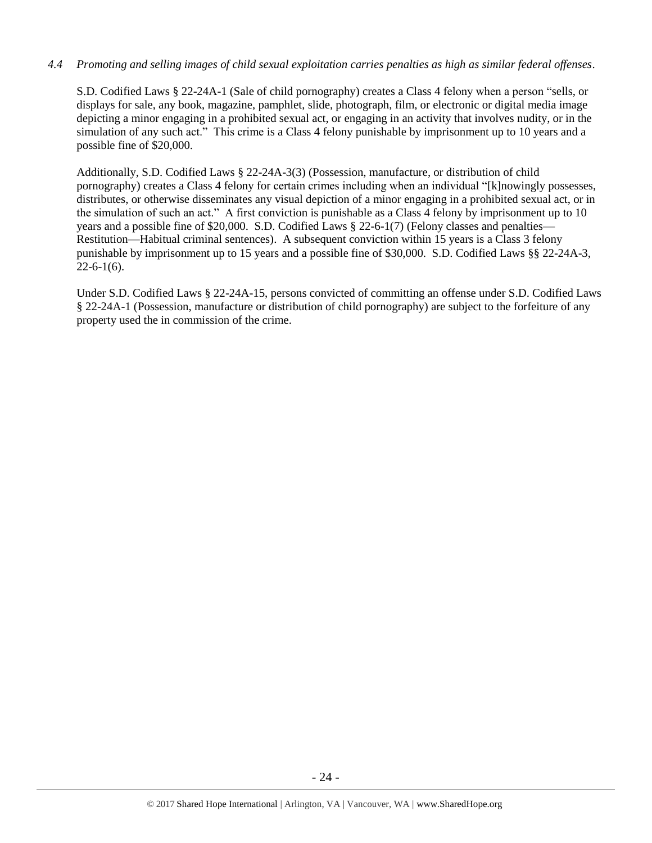# *4.4 Promoting and selling images of child sexual exploitation carries penalties as high as similar federal offenses*.

S.D. Codified Laws § 22-24A-1 (Sale of child pornography) creates a Class 4 felony when a person "sells, or displays for sale, any book, magazine, pamphlet, slide, photograph, film, or electronic or digital media image depicting a minor engaging in a prohibited sexual act, or engaging in an activity that involves nudity, or in the simulation of any such act." This crime is a Class 4 felony punishable by imprisonment up to 10 years and a possible fine of \$20,000.

Additionally, S.D. Codified Laws § 22-24A-3(3) (Possession, manufacture, or distribution of child pornography) creates a Class 4 felony for certain crimes including when an individual "[k]nowingly possesses, distributes, or otherwise disseminates any visual depiction of a minor engaging in a prohibited sexual act, or in the simulation of such an act." A first conviction is punishable as a Class 4 felony by imprisonment up to 10 years and a possible fine of \$20,000. S.D. Codified Laws § 22-6-1(7) (Felony classes and penalties— Restitution—Habitual criminal sentences). A subsequent conviction within 15 years is a Class 3 felony punishable by imprisonment up to 15 years and a possible fine of \$30,000. S.D. Codified Laws §§ 22-24A-3,  $22-6-1(6)$ .

Under S.D. Codified Laws § 22-24A-15, persons convicted of committing an offense under S.D. Codified Laws § 22-24A-1 (Possession, manufacture or distribution of child pornography) are subject to the forfeiture of any property used the in commission of the crime.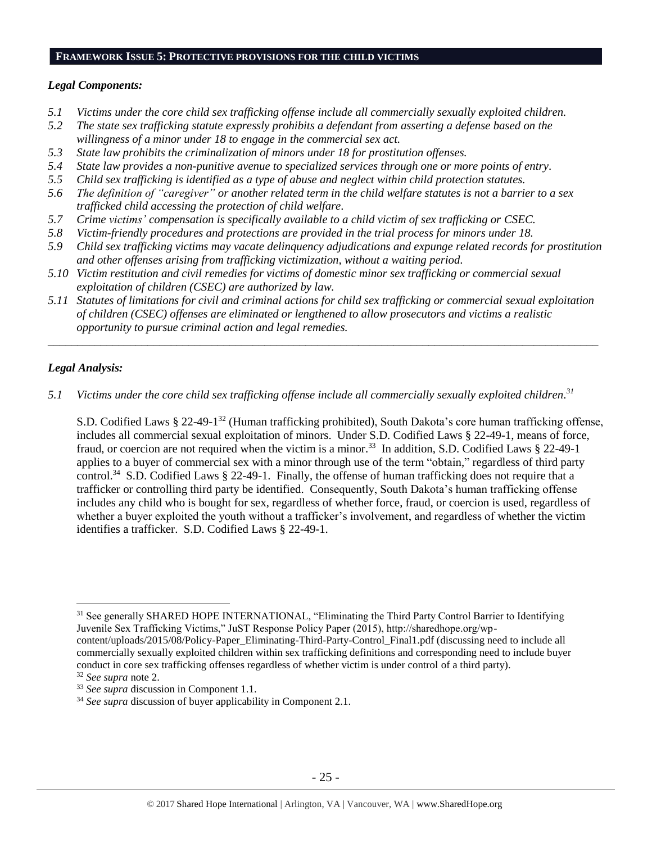# **FRAMEWORK ISSUE 5: PROTECTIVE PROVISIONS FOR THE CHILD VICTIMS**

#### *Legal Components:*

- *5.1 Victims under the core child sex trafficking offense include all commercially sexually exploited children.*
- *5.2 The state sex trafficking statute expressly prohibits a defendant from asserting a defense based on the willingness of a minor under 18 to engage in the commercial sex act.*
- *5.3 State law prohibits the criminalization of minors under 18 for prostitution offenses.*
- *5.4 State law provides a non-punitive avenue to specialized services through one or more points of entry.*
- *5.5 Child sex trafficking is identified as a type of abuse and neglect within child protection statutes.*
- *5.6 The definition of "caregiver" or another related term in the child welfare statutes is not a barrier to a sex trafficked child accessing the protection of child welfare.*
- *5.7 Crime victims' compensation is specifically available to a child victim of sex trafficking or CSEC.*
- *5.8 Victim-friendly procedures and protections are provided in the trial process for minors under 18.*
- *5.9 Child sex trafficking victims may vacate delinquency adjudications and expunge related records for prostitution and other offenses arising from trafficking victimization, without a waiting period.*
- *5.10 Victim restitution and civil remedies for victims of domestic minor sex trafficking or commercial sexual exploitation of children (CSEC) are authorized by law.*
- *5.11 Statutes of limitations for civil and criminal actions for child sex trafficking or commercial sexual exploitation of children (CSEC) offenses are eliminated or lengthened to allow prosecutors and victims a realistic opportunity to pursue criminal action and legal remedies.*

*\_\_\_\_\_\_\_\_\_\_\_\_\_\_\_\_\_\_\_\_\_\_\_\_\_\_\_\_\_\_\_\_\_\_\_\_\_\_\_\_\_\_\_\_\_\_\_\_\_\_\_\_\_\_\_\_\_\_\_\_\_\_\_\_\_\_\_\_\_\_\_\_\_\_\_\_\_\_\_\_\_\_\_\_\_\_\_\_\_\_\_\_\_\_*

## *Legal Analysis:*

 $\overline{a}$ 

*5.1 Victims under the core child sex trafficking offense include all commercially sexually exploited children. 31*

S.D. Codified Laws § 22-49-1 <sup>32</sup> (Human trafficking prohibited), South Dakota's core human trafficking offense, includes all commercial sexual exploitation of minors. Under S.D. Codified Laws § 22-49-1, means of force, fraud, or coercion are not required when the victim is a minor.<sup>33</sup> In addition, S.D. Codified Laws § 22-49-1 applies to a buyer of commercial sex with a minor through use of the term "obtain," regardless of third party control.<sup>34</sup> S.D. Codified Laws § 22-49-1. Finally, the offense of human trafficking does not require that a trafficker or controlling third party be identified. Consequently, South Dakota's human trafficking offense includes any child who is bought for sex, regardless of whether force, fraud, or coercion is used, regardless of whether a buyer exploited the youth without a trafficker's involvement, and regardless of whether the victim identifies a trafficker. S.D. Codified Laws § 22-49-1.

content/uploads/2015/08/Policy-Paper\_Eliminating-Third-Party-Control\_Final1.pdf (discussing need to include all commercially sexually exploited children within sex trafficking definitions and corresponding need to include buyer conduct in core sex trafficking offenses regardless of whether victim is under control of a third party).

<sup>&</sup>lt;sup>31</sup> See generally SHARED HOPE INTERNATIONAL, "Eliminating the Third Party Control Barrier to Identifying Juvenile Sex Trafficking Victims," JuST Response Policy Paper (2015), http://sharedhope.org/wp-

<sup>32</sup> *See supra* note [2.](#page-0-0)

<sup>33</sup> *See supra* discussion in Component 1.1.

<sup>&</sup>lt;sup>34</sup> *See supra* discussion of buyer applicability in Component 2.1.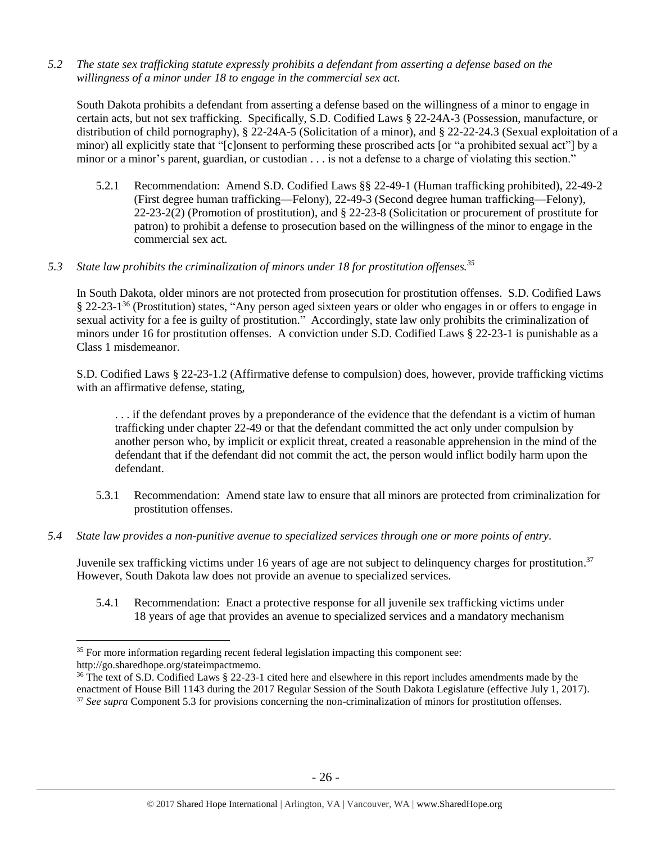*5.2 The state sex trafficking statute expressly prohibits a defendant from asserting a defense based on the willingness of a minor under 18 to engage in the commercial sex act.*

South Dakota prohibits a defendant from asserting a defense based on the willingness of a minor to engage in certain acts, but not sex trafficking. Specifically, S.D. Codified Laws § 22-24A-3 (Possession, manufacture, or distribution of child pornography), § 22-24A-5 (Solicitation of a minor), and § 22-22-24.3 (Sexual exploitation of a minor) all explicitly state that "[c]onsent to performing these proscribed acts [or "a prohibited sexual act"] by a minor or a minor's parent, guardian, or custodian . . . is not a defense to a charge of violating this section."

- 5.2.1 Recommendation: Amend S.D. Codified Laws §§ 22-49-1 (Human trafficking prohibited), 22-49-2 (First degree human trafficking—Felony), 22-49-3 (Second degree human trafficking—Felony), 22-23-2(2) (Promotion of prostitution), and § 22-23-8 (Solicitation or procurement of prostitute for patron) to prohibit a defense to prosecution based on the willingness of the minor to engage in the commercial sex act.
- *5.3 State law prohibits the criminalization of minors under 18 for prostitution offenses.<sup>35</sup>*

In South Dakota, older minors are not protected from prosecution for prostitution offenses. S.D. Codified Laws § 22-23-1<sup>36</sup> (Prostitution) states, "Any person aged sixteen years or older who engages in or offers to engage in sexual activity for a fee is guilty of prostitution." Accordingly, state law only prohibits the criminalization of minors under 16 for prostitution offenses. A conviction under S.D. Codified Laws § 22-23-1 is punishable as a Class 1 misdemeanor.

S.D. Codified Laws § 22-23-1.2 (Affirmative defense to compulsion) does, however, provide trafficking victims with an affirmative defense, stating,

. . . if the defendant proves by a preponderance of the evidence that the defendant is a victim of human trafficking under chapter 22-49 or that the defendant committed the act only under compulsion by another person who, by implicit or explicit threat, created a reasonable apprehension in the mind of the defendant that if the defendant did not commit the act, the person would inflict bodily harm upon the defendant.

- 5.3.1 Recommendation: Amend state law to ensure that all minors are protected from criminalization for prostitution offenses.
- *5.4 State law provides a non-punitive avenue to specialized services through one or more points of entry.*

Juvenile sex trafficking victims under 16 years of age are not subject to delinquency charges for prostitution.<sup>37</sup> However, South Dakota law does not provide an avenue to specialized services.

5.4.1 Recommendation: Enact a protective response for all juvenile sex trafficking victims under 18 years of age that provides an avenue to specialized services and a mandatory mechanism

<sup>&</sup>lt;sup>35</sup> For more information regarding recent federal legislation impacting this component see: http://go.sharedhope.org/stateimpactmemo.

<sup>&</sup>lt;sup>36</sup> The text of S.D. Codified Laws § 22-23-1 cited here and elsewhere in this report includes amendments made by the enactment of House Bill 1143 during the 2017 Regular Session of the South Dakota Legislature (effective July 1, 2017). <sup>37</sup> *See supra* Component 5.3 for provisions concerning the non-criminalization of minors for prostitution offenses.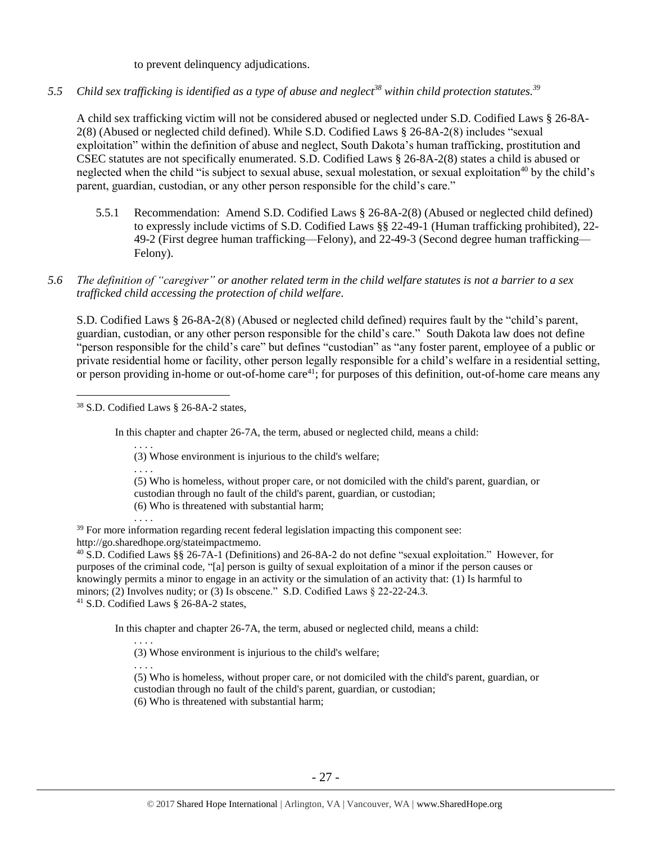to prevent delinquency adjudications.

*5.5 Child sex trafficking is identified as a type of abuse and neglect<sup>38</sup> within child protection statutes. 39*

A child sex trafficking victim will not be considered abused or neglected under S.D. Codified Laws § 26-8A-2(8) (Abused or neglected child defined). While S.D. Codified Laws § 26-8A-2(8) includes "sexual exploitation" within the definition of abuse and neglect, South Dakota's human trafficking, prostitution and CSEC statutes are not specifically enumerated. S.D. Codified Laws § 26-8A-2(8) states a child is abused or neglected when the child "is subject to sexual abuse, sexual molestation, or sexual exploitation<sup>40</sup> by the child's parent, guardian, custodian, or any other person responsible for the child's care."

- 5.5.1 Recommendation: Amend S.D. Codified Laws § 26-8A-2(8) (Abused or neglected child defined) to expressly include victims of S.D. Codified Laws §§ 22-49-1 (Human trafficking prohibited), 22- 49-2 (First degree human trafficking—Felony), and 22-49-3 (Second degree human trafficking— Felony).
- *5.6 The definition of "caregiver" or another related term in the child welfare statutes is not a barrier to a sex trafficked child accessing the protection of child welfare.*

S.D. Codified Laws § 26-8A-2(8) (Abused or neglected child defined) requires fault by the "child's parent, guardian, custodian, or any other person responsible for the child's care." South Dakota law does not define "person responsible for the child's care" but defines "custodian" as "any foster parent, employee of a public or private residential home or facility, other person legally responsible for a child's welfare in a residential setting, or person providing in-home or out-of-home care<sup>41</sup>; for purposes of this definition, out-of-home care means any

<sup>38</sup> S.D. Codified Laws § 26-8A-2 states,

 $\overline{a}$ 

In this chapter and chapter 26-7A, the term, abused or neglected child, means a child:

- (3) Whose environment is injurious to the child's welfare;
- . . . . (5) Who is homeless, without proper care, or not domiciled with the child's parent, guardian, or custodian through no fault of the child's parent, guardian, or custodian; (6) Who is threatened with substantial harm;
- . . . .

. . . .

<sup>39</sup> For more information regarding recent federal legislation impacting this component see: http://go.sharedhope.org/stateimpactmemo.

<sup>40</sup> S.D. Codified Laws §§ 26-7A-1 (Definitions) and 26-8A-2 do not define "sexual exploitation." However, for purposes of the criminal code, "[a] person is guilty of sexual exploitation of a minor if the person causes or knowingly permits a minor to engage in an activity or the simulation of an activity that: (1) Is harmful to minors; (2) Involves nudity; or (3) Is obscene." S.D. Codified Laws  $\S$  22-22-24.3. <sup>41</sup> S.D. Codified Laws § 26-8A-2 states,

In this chapter and chapter 26-7A, the term, abused or neglected child, means a child:

. . . . (3) Whose environment is injurious to the child's welfare;

. . . .

(5) Who is homeless, without proper care, or not domiciled with the child's parent, guardian, or custodian through no fault of the child's parent, guardian, or custodian;

(6) Who is threatened with substantial harm;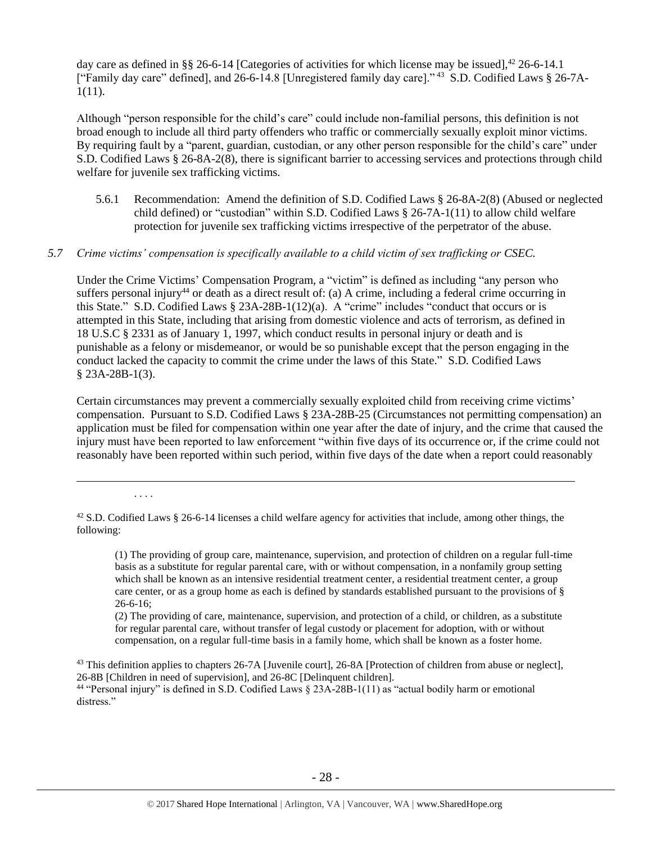day care as defined in §§ 26-6-14 [Categories of activities for which license may be issued],  $42$  26-6-14.1 ["Family day care" defined], and 26-6-14.8 [Unregistered family day care]."<sup>43</sup> S.D. Codified Laws § 26-7A-1(11).

Although "person responsible for the child's care" could include non-familial persons, this definition is not broad enough to include all third party offenders who traffic or commercially sexually exploit minor victims. By requiring fault by a "parent, guardian, custodian, or any other person responsible for the child's care" under S.D. Codified Laws § 26-8A-2(8), there is significant barrier to accessing services and protections through child welfare for juvenile sex trafficking victims.

5.6.1 Recommendation: Amend the definition of S.D. Codified Laws § 26-8A-2(8) (Abused or neglected child defined) or "custodian" within S.D. Codified Laws § 26-7A-1(11) to allow child welfare protection for juvenile sex trafficking victims irrespective of the perpetrator of the abuse.

## *5.7 Crime victims' compensation is specifically available to a child victim of sex trafficking or CSEC.*

Under the Crime Victims' Compensation Program, a "victim" is defined as including "any person who suffers personal injury<sup>44</sup> or death as a direct result of: (a) A crime, including a federal crime occurring in this State." S.D. Codified Laws § 23A-28B-1(12)(a). A "crime" includes "conduct that occurs or is attempted in this State, including that arising from domestic violence and acts of terrorism, as defined in 18 U.S.C § 2331 as of January 1, 1997, which conduct results in personal injury or death and is punishable as a felony or misdemeanor, or would be so punishable except that the person engaging in the conduct lacked the capacity to commit the crime under the laws of this State." S.D. Codified Laws § 23A-28B-1(3).

Certain circumstances may prevent a commercially sexually exploited child from receiving crime victims' compensation. Pursuant to S.D. Codified Laws § 23A-28B-25 (Circumstances not permitting compensation) an application must be filed for compensation within one year after the date of injury, and the crime that caused the injury must have been reported to law enforcement "within five days of its occurrence or, if the crime could not reasonably have been reported within such period, within five days of the date when a report could reasonably

. . . .

 $\overline{a}$ 

(1) The providing of group care, maintenance, supervision, and protection of children on a regular full-time basis as a substitute for regular parental care, with or without compensation, in a nonfamily group setting which shall be known as an intensive residential treatment center, a residential treatment center, a group care center, or as a group home as each is defined by standards established pursuant to the provisions of § 26-6-16;

(2) The providing of care, maintenance, supervision, and protection of a child, or children, as a substitute for regular parental care, without transfer of legal custody or placement for adoption, with or without compensation, on a regular full-time basis in a family home, which shall be known as a foster home.

<sup>43</sup> This definition applies to chapters 26-7A [Juvenile court], 26-8A [Protection of children from abuse or neglect], 26-8B [Children in need of supervision], and 26-8C [Delinquent children].

<sup>44</sup> "Personal injury" is defined in S.D. Codified Laws § 23A-28B-1(11) as "actual bodily harm or emotional distress."

<sup>&</sup>lt;sup>42</sup> S.D. Codified Laws § 26-6-14 licenses a child welfare agency for activities that include, among other things, the following: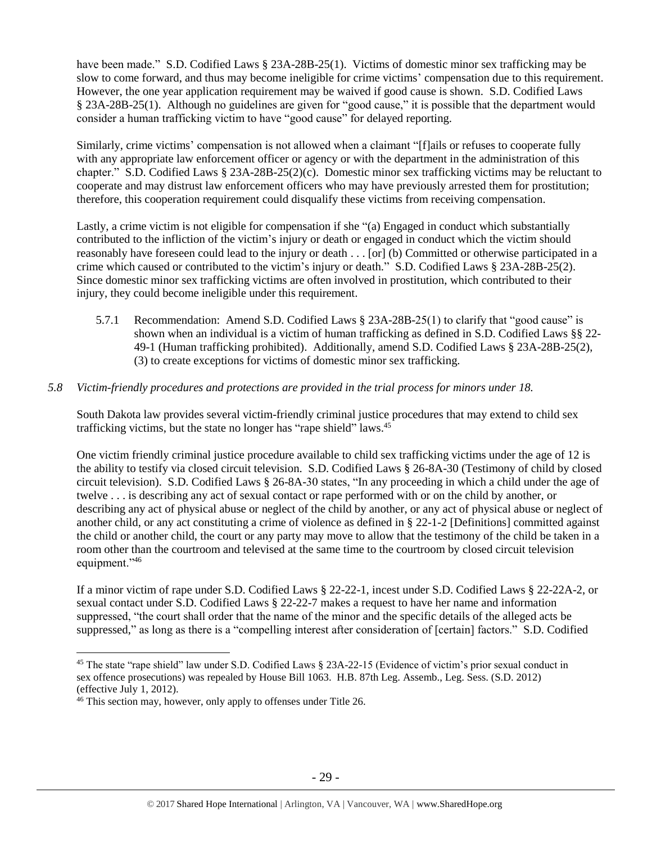have been made." S.D. Codified Laws § 23A-28B-25(1). Victims of domestic minor sex trafficking may be slow to come forward, and thus may become ineligible for crime victims' compensation due to this requirement. However, the one year application requirement may be waived if good cause is shown. S.D. Codified Laws § 23A-28B-25(1). Although no guidelines are given for "good cause," it is possible that the department would consider a human trafficking victim to have "good cause" for delayed reporting.

Similarly, crime victims' compensation is not allowed when a claimant "[f]ails or refuses to cooperate fully with any appropriate law enforcement officer or agency or with the department in the administration of this chapter." S.D. Codified Laws § 23A-28B-25(2)(c). Domestic minor sex trafficking victims may be reluctant to cooperate and may distrust law enforcement officers who may have previously arrested them for prostitution; therefore, this cooperation requirement could disqualify these victims from receiving compensation.

Lastly, a crime victim is not eligible for compensation if she "(a) Engaged in conduct which substantially contributed to the infliction of the victim's injury or death or engaged in conduct which the victim should reasonably have foreseen could lead to the injury or death . . . [or] (b) Committed or otherwise participated in a crime which caused or contributed to the victim's injury or death." S.D. Codified Laws § 23A-28B-25(2). Since domestic minor sex trafficking victims are often involved in prostitution, which contributed to their injury, they could become ineligible under this requirement.

5.7.1 Recommendation: Amend S.D. Codified Laws § 23A-28B-25(1) to clarify that "good cause" is shown when an individual is a victim of human trafficking as defined in S.D. Codified Laws §§ 22- 49-1 (Human trafficking prohibited). Additionally, amend S.D. Codified Laws § 23A-28B-25(2), (3) to create exceptions for victims of domestic minor sex trafficking.

# *5.8 Victim-friendly procedures and protections are provided in the trial process for minors under 18.*

South Dakota law provides several victim-friendly criminal justice procedures that may extend to child sex trafficking victims, but the state no longer has "rape shield" laws.<sup>45</sup>

One victim friendly criminal justice procedure available to child sex trafficking victims under the age of 12 is the ability to testify via closed circuit television. S.D. Codified Laws § 26-8A-30 (Testimony of child by closed circuit television). S.D. Codified Laws § 26-8A-30 states, "In any proceeding in which a child under the age of twelve . . . is describing any act of sexual contact or rape performed with or on the child by another, or describing any act of physical abuse or neglect of the child by another, or any act of physical abuse or neglect of another child, or any act constituting a crime of violence as defined in § 22-1-2 [Definitions] committed against the child or another child, the court or any party may move to allow that the testimony of the child be taken in a room other than the courtroom and televised at the same time to the courtroom by closed circuit television equipment."46

If a minor victim of rape under S.D. Codified Laws § 22-22-1, incest under S.D. Codified Laws § 22-22A-2, or sexual contact under S.D. Codified Laws § 22-22-7 makes a request to have her name and information suppressed, "the court shall order that the name of the minor and the specific details of the alleged acts be suppressed," as long as there is a "compelling interest after consideration of [certain] factors." S.D. Codified

<sup>45</sup> The state "rape shield" law under S.D. Codified Laws § 23A-22-15 (Evidence of victim's prior sexual conduct in sex offence prosecutions) was repealed by House Bill 1063. H.B. 87th Leg. Assemb., Leg. Sess. (S.D. 2012) (effective July 1, 2012).

<sup>&</sup>lt;sup>46</sup> This section may, however, only apply to offenses under Title 26.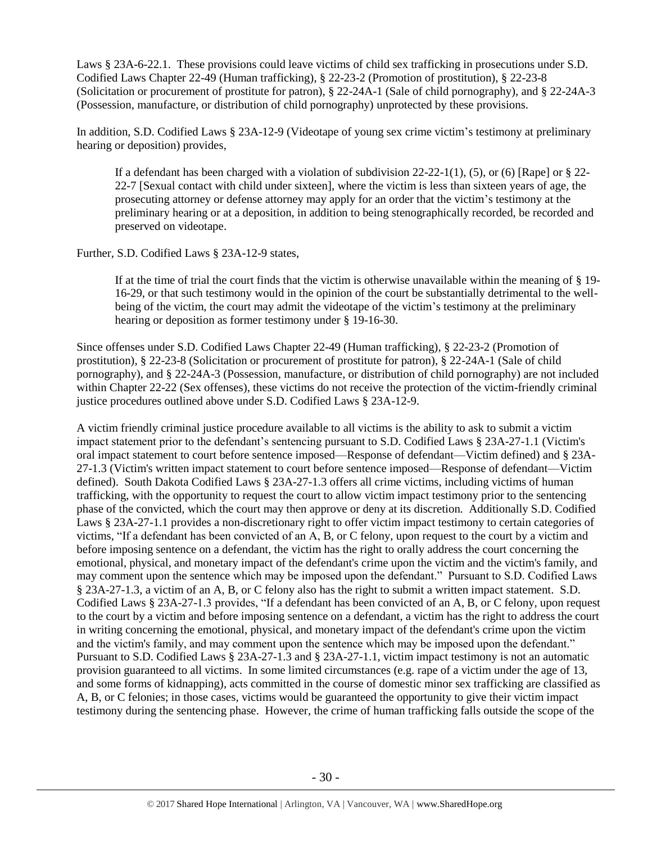Laws § 23A-6-22.1. These provisions could leave victims of child sex trafficking in prosecutions under S.D. Codified Laws Chapter 22-49 (Human trafficking), § 22-23-2 (Promotion of prostitution), § 22-23-8 (Solicitation or procurement of prostitute for patron), § 22-24A-1 (Sale of child pornography), and § 22-24A-3 (Possession, manufacture, or distribution of child pornography) unprotected by these provisions.

In addition, S.D. Codified Laws § 23A-12-9 (Videotape of young sex crime victim's testimony at preliminary hearing or deposition) provides,

If a defendant has been charged with a violation of subdivision  $22-22-1(1)$ , (5), or (6) [Rape] or § 22-22-7 [Sexual contact with child under sixteen], where the victim is less than sixteen years of age, the prosecuting attorney or defense attorney may apply for an order that the victim's testimony at the preliminary hearing or at a deposition, in addition to being stenographically recorded, be recorded and preserved on videotape.

Further, S.D. Codified Laws § 23A-12-9 states,

If at the time of trial the court finds that the victim is otherwise unavailable within the meaning of § 19- 16-29, or that such testimony would in the opinion of the court be substantially detrimental to the wellbeing of the victim, the court may admit the videotape of the victim's testimony at the preliminary hearing or deposition as former testimony under § 19-16-30.

Since offenses under S.D. Codified Laws Chapter 22-49 (Human trafficking), § 22-23-2 (Promotion of prostitution), § 22-23-8 (Solicitation or procurement of prostitute for patron), § 22-24A-1 (Sale of child pornography), and § 22-24A-3 (Possession, manufacture, or distribution of child pornography) are not included within Chapter 22-22 (Sex offenses), these victims do not receive the protection of the victim-friendly criminal justice procedures outlined above under S.D. Codified Laws § 23A-12-9.

A victim friendly criminal justice procedure available to all victims is the ability to ask to submit a victim impact statement prior to the defendant's sentencing pursuant to S.D. Codified Laws § 23A-27-1.1 (Victim's oral impact statement to court before sentence imposed—Response of defendant—Victim defined) and § 23A-27-1.3 (Victim's written impact statement to court before sentence imposed—Response of defendant—Victim defined). South Dakota Codified Laws § 23A-27-1.3 offers all crime victims, including victims of human trafficking, with the opportunity to request the court to allow victim impact testimony prior to the sentencing phase of the convicted, which the court may then approve or deny at its discretion. Additionally S.D. Codified Laws § 23A-27-1.1 provides a non-discretionary right to offer victim impact testimony to certain categories of victims, "If a defendant has been convicted of an A, B, or C felony, upon request to the court by a victim and before imposing sentence on a defendant, the victim has the right to orally address the court concerning the emotional, physical, and monetary impact of the defendant's crime upon the victim and the victim's family, and may comment upon the sentence which may be imposed upon the defendant." Pursuant to S.D. Codified Laws § 23A-27-1.3, a victim of an A, B, or C felony also has the right to submit a written impact statement. S.D. Codified Laws § 23A-27-1.3 provides, "If a defendant has been convicted of an A, B, or C felony, upon request to the court by a victim and before imposing sentence on a defendant, a victim has the right to address the court in writing concerning the emotional, physical, and monetary impact of the defendant's crime upon the victim and the victim's family, and may comment upon the sentence which may be imposed upon the defendant." Pursuant to S.D. Codified Laws § 23A-27-1.3 and § 23A-27-1.1, victim impact testimony is not an automatic provision guaranteed to all victims. In some limited circumstances (e.g. rape of a victim under the age of 13, and some forms of kidnapping), acts committed in the course of domestic minor sex trafficking are classified as A, B, or C felonies; in those cases, victims would be guaranteed the opportunity to give their victim impact testimony during the sentencing phase. However, the crime of human trafficking falls outside the scope of the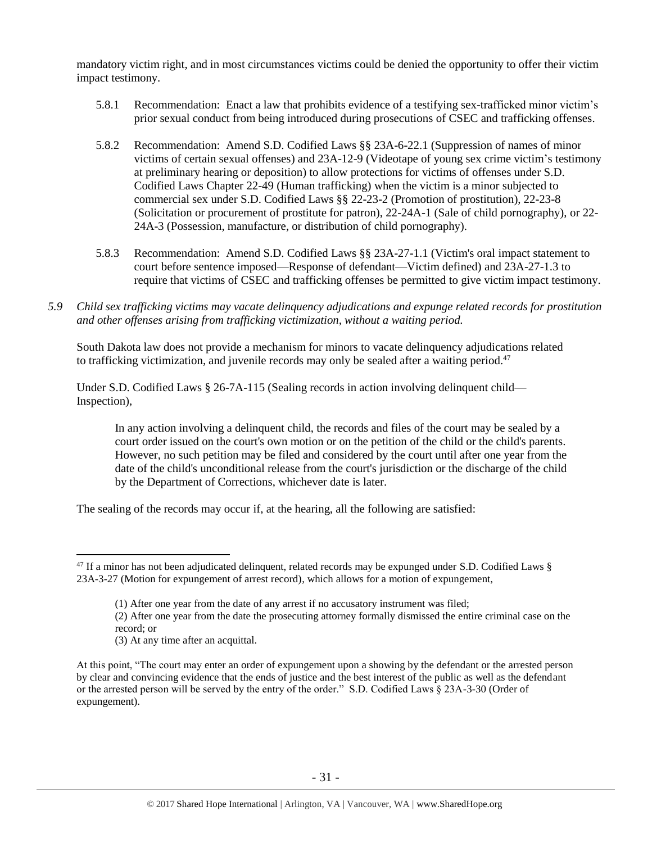mandatory victim right, and in most circumstances victims could be denied the opportunity to offer their victim impact testimony.

- 5.8.1 Recommendation: Enact a law that prohibits evidence of a testifying sex-trafficked minor victim's prior sexual conduct from being introduced during prosecutions of CSEC and trafficking offenses.
- 5.8.2 Recommendation: Amend S.D. Codified Laws §§ 23A-6-22.1 (Suppression of names of minor victims of certain sexual offenses) and 23A-12-9 (Videotape of young sex crime victim's testimony at preliminary hearing or deposition) to allow protections for victims of offenses under S.D. Codified Laws Chapter 22-49 (Human trafficking) when the victim is a minor subjected to commercial sex under S.D. Codified Laws §§ 22-23-2 (Promotion of prostitution), 22-23-8 (Solicitation or procurement of prostitute for patron), 22-24A-1 (Sale of child pornography), or 22- 24A-3 (Possession, manufacture, or distribution of child pornography).
- 5.8.3 Recommendation: Amend S.D. Codified Laws §§ 23A-27-1.1 (Victim's oral impact statement to court before sentence imposed—Response of defendant—Victim defined) and 23A-27-1.3 to require that victims of CSEC and trafficking offenses be permitted to give victim impact testimony.
- *5.9 Child sex trafficking victims may vacate delinquency adjudications and expunge related records for prostitution and other offenses arising from trafficking victimization, without a waiting period.*

South Dakota law does not provide a mechanism for minors to vacate delinquency adjudications related to trafficking victimization, and juvenile records may only be sealed after a waiting period.<sup>47</sup>

Under S.D. Codified Laws § 26-7A-115 (Sealing records in action involving delinquent child— Inspection),

In any action involving a delinquent child, the records and files of the court may be sealed by a court order issued on the court's own motion or on the petition of the child or the child's parents. However, no such petition may be filed and considered by the court until after one year from the date of the child's unconditional release from the court's jurisdiction or the discharge of the child by the Department of Corrections, whichever date is later.

The sealing of the records may occur if, at the hearing, all the following are satisfied:

(3) At any time after an acquittal.

<sup>&</sup>lt;sup>47</sup> If a minor has not been adjudicated delinquent, related records may be expunged under S.D. Codified Laws § 23A-3-27 (Motion for expungement of arrest record), which allows for a motion of expungement,

<sup>(1)</sup> After one year from the date of any arrest if no accusatory instrument was filed;

<sup>(2)</sup> After one year from the date the prosecuting attorney formally dismissed the entire criminal case on the record; or

At this point, "The court may enter an order of expungement upon a showing by the defendant or the arrested person by clear and convincing evidence that the ends of justice and the best interest of the public as well as the defendant or the arrested person will be served by the entry of the order." S.D. Codified Laws § 23A-3-30 (Order of expungement).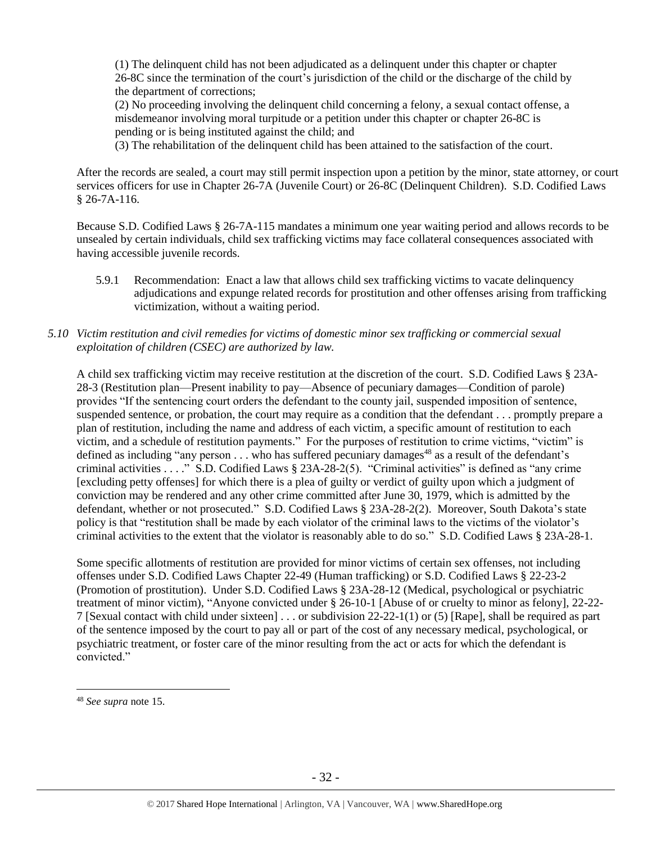(1) The delinquent child has not been adjudicated as a delinquent under this chapter or chapter 26-8C since the termination of the court's jurisdiction of the child or the discharge of the child by the department of corrections;

(2) No proceeding involving the delinquent child concerning a felony, a sexual contact offense, a misdemeanor involving moral turpitude or a petition under this chapter or chapter 26-8C is pending or is being instituted against the child; and

(3) The rehabilitation of the delinquent child has been attained to the satisfaction of the court.

After the records are sealed, a court may still permit inspection upon a petition by the minor, state attorney, or court services officers for use in Chapter 26-7A (Juvenile Court) or 26-8C (Delinquent Children). S.D. Codified Laws § 26-7A-116.

Because S.D. Codified Laws § 26-7A-115 mandates a minimum one year waiting period and allows records to be unsealed by certain individuals, child sex trafficking victims may face collateral consequences associated with having accessible juvenile records.

5.9.1 Recommendation: Enact a law that allows child sex trafficking victims to vacate delinquency adjudications and expunge related records for prostitution and other offenses arising from trafficking victimization, without a waiting period.

# *5.10 Victim restitution and civil remedies for victims of domestic minor sex trafficking or commercial sexual exploitation of children (CSEC) are authorized by law.*

A child sex trafficking victim may receive restitution at the discretion of the court. S.D. Codified Laws § 23A-28-3 (Restitution plan—Present inability to pay—Absence of pecuniary damages—Condition of parole) provides "If the sentencing court orders the defendant to the county jail, suspended imposition of sentence, suspended sentence, or probation, the court may require as a condition that the defendant . . . promptly prepare a plan of restitution, including the name and address of each victim, a specific amount of restitution to each victim, and a schedule of restitution payments." For the purposes of restitution to crime victims, "victim" is defined as including "any person  $\dots$  who has suffered pecuniary damages<sup>48</sup> as a result of the defendant's criminal activities . . . ." S.D. Codified Laws § 23A-28-2(5). "Criminal activities" is defined as "any crime [excluding petty offenses] for which there is a plea of guilty or verdict of guilty upon which a judgment of conviction may be rendered and any other crime committed after June 30, 1979, which is admitted by the defendant, whether or not prosecuted." S.D. Codified Laws § 23A-28-2(2). Moreover, South Dakota's state policy is that "restitution shall be made by each violator of the criminal laws to the victims of the violator's criminal activities to the extent that the violator is reasonably able to do so." S.D. Codified Laws § 23A-28-1.

Some specific allotments of restitution are provided for minor victims of certain sex offenses, not including offenses under S.D. Codified Laws Chapter 22-49 (Human trafficking) or S.D. Codified Laws § 22-23-2 (Promotion of prostitution). Under S.D. Codified Laws § 23A-28-12 (Medical, psychological or psychiatric treatment of minor victim), "Anyone convicted under § 26-10-1 [Abuse of or cruelty to minor as felony], 22-22- 7 [Sexual contact with child under sixteen] . . . or subdivision 22-22-1(1) or (5) [Rape], shall be required as part of the sentence imposed by the court to pay all or part of the cost of any necessary medical, psychological, or psychiatric treatment, or foster care of the minor resulting from the act or acts for which the defendant is convicted."

<sup>48</sup> *See supra* note [15.](#page-8-0)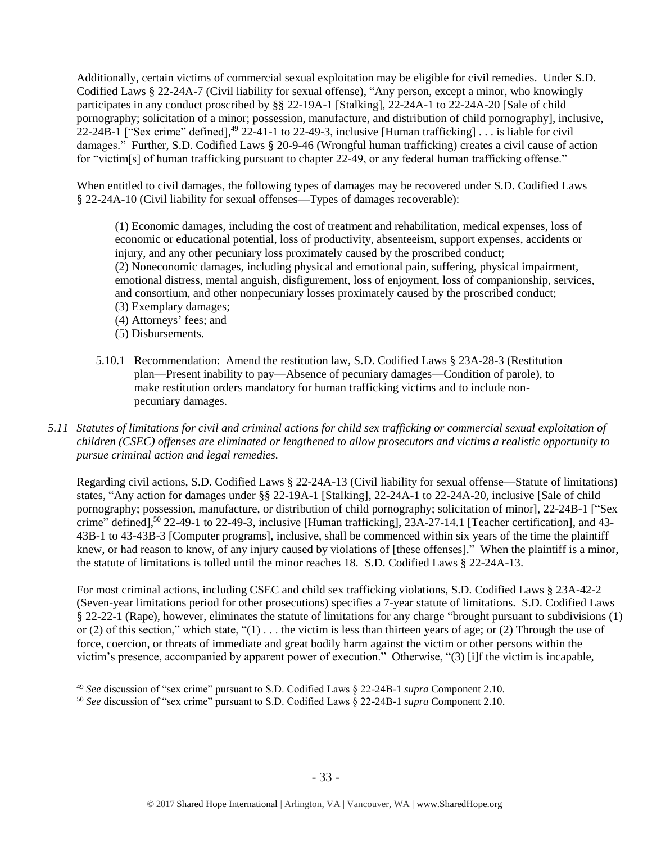Additionally, certain victims of commercial sexual exploitation may be eligible for civil remedies. Under S.D. Codified Laws § 22-24A-7 (Civil liability for sexual offense), "Any person, except a minor, who knowingly participates in any conduct proscribed by §§ 22-19A-1 [Stalking], 22-24A-1 to 22-24A-20 [Sale of child pornography; solicitation of a minor; possession, manufacture, and distribution of child pornography], inclusive, 22-24B-1 ["Sex crime" defined], $49$  22-41-1 to 22-49-3, inclusive [Human trafficking]  $\dots$  is liable for civil damages." Further, S.D. Codified Laws § 20-9-46 (Wrongful human trafficking) creates a civil cause of action for "victim[s] of human trafficking pursuant to chapter 22-49, or any federal human trafficking offense."

When entitled to civil damages, the following types of damages may be recovered under S.D. Codified Laws § 22-24A-10 (Civil liability for sexual offenses—Types of damages recoverable):

(1) Economic damages, including the cost of treatment and rehabilitation, medical expenses, loss of economic or educational potential, loss of productivity, absenteeism, support expenses, accidents or injury, and any other pecuniary loss proximately caused by the proscribed conduct; (2) Noneconomic damages, including physical and emotional pain, suffering, physical impairment, emotional distress, mental anguish, disfigurement, loss of enjoyment, loss of companionship, services, and consortium, and other nonpecuniary losses proximately caused by the proscribed conduct; (3) Exemplary damages;

- (4) Attorneys' fees; and
- (5) Disbursements.

 $\overline{a}$ 

- 5.10.1 Recommendation: Amend the restitution law, S.D. Codified Laws § 23A-28-3 (Restitution plan—Present inability to pay—Absence of pecuniary damages—Condition of parole), to make restitution orders mandatory for human trafficking victims and to include nonpecuniary damages.
- *5.11 Statutes of limitations for civil and criminal actions for child sex trafficking or commercial sexual exploitation of children (CSEC) offenses are eliminated or lengthened to allow prosecutors and victims a realistic opportunity to pursue criminal action and legal remedies.*

Regarding civil actions, S.D. Codified Laws § 22-24A-13 (Civil liability for sexual offense—Statute of limitations) states, "Any action for damages under §§ 22-19A-1 [Stalking], 22-24A-1 to 22-24A-20, inclusive [Sale of child pornography; possession, manufacture, or distribution of child pornography; solicitation of minor], 22-24B-1 ["Sex crime" defined],<sup>50</sup> 22-49-1 to 22-49-3, inclusive [Human trafficking], 23A-27-14.1 [Teacher certification], and 43-43B-1 to 43-43B-3 [Computer programs], inclusive, shall be commenced within six years of the time the plaintiff knew, or had reason to know, of any injury caused by violations of [these offenses]." When the plaintiff is a minor, the statute of limitations is tolled until the minor reaches 18. S.D. Codified Laws § 22-24A-13.

For most criminal actions, including CSEC and child sex trafficking violations, S.D. Codified Laws § 23A-42-2 (Seven-year limitations period for other prosecutions) specifies a 7-year statute of limitations. S.D. Codified Laws § 22-22-1 (Rape), however, eliminates the statute of limitations for any charge "brought pursuant to subdivisions (1) or (2) of this section," which state, " $(1)$ ... the victim is less than thirteen years of age; or (2) Through the use of force, coercion, or threats of immediate and great bodily harm against the victim or other persons within the victim's presence, accompanied by apparent power of execution." Otherwise, "(3) [i]f the victim is incapable,

<sup>49</sup> *See* discussion of "sex crime" pursuant to S.D. Codified Laws § 22-24B-1 *supra* Component 2.10.

<sup>50</sup> *See* discussion of "sex crime" pursuant to S.D. Codified Laws § 22-24B-1 *supra* Component 2.10.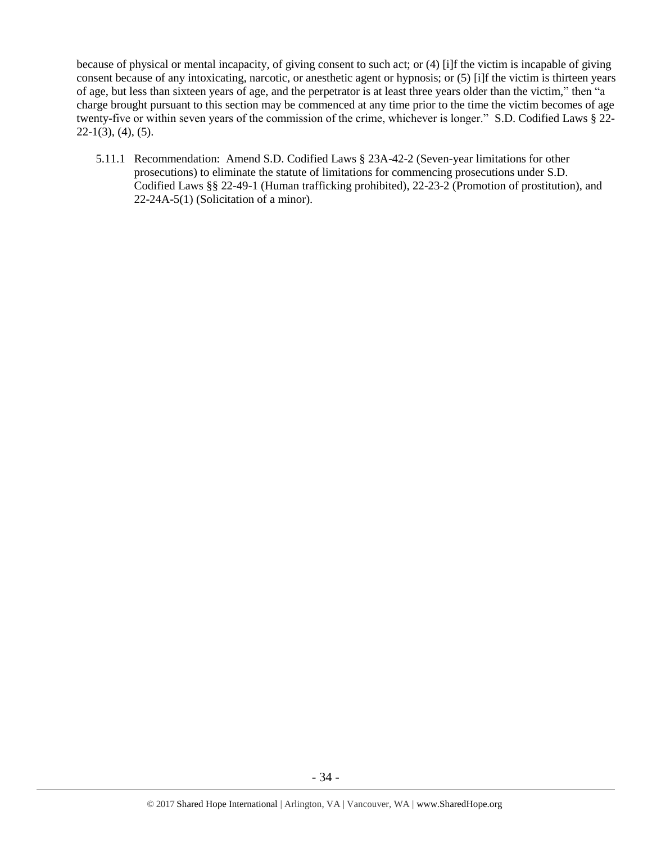because of physical or mental incapacity, of giving consent to such act; or (4) [i]f the victim is incapable of giving consent because of any intoxicating, narcotic, or anesthetic agent or hypnosis; or (5) [i]f the victim is thirteen years of age, but less than sixteen years of age, and the perpetrator is at least three years older than the victim," then "a charge brought pursuant to this section may be commenced at any time prior to the time the victim becomes of age twenty-five or within seven years of the commission of the crime, whichever is longer." S.D. Codified Laws § 22-  $22-1(3)$ ,  $(4)$ ,  $(5)$ .

5.11.1 Recommendation: Amend S.D. Codified Laws § 23A-42-2 (Seven-year limitations for other prosecutions) to eliminate the statute of limitations for commencing prosecutions under S.D. Codified Laws §§ 22-49-1 (Human trafficking prohibited), 22-23-2 (Promotion of prostitution), and 22-24A-5(1) (Solicitation of a minor).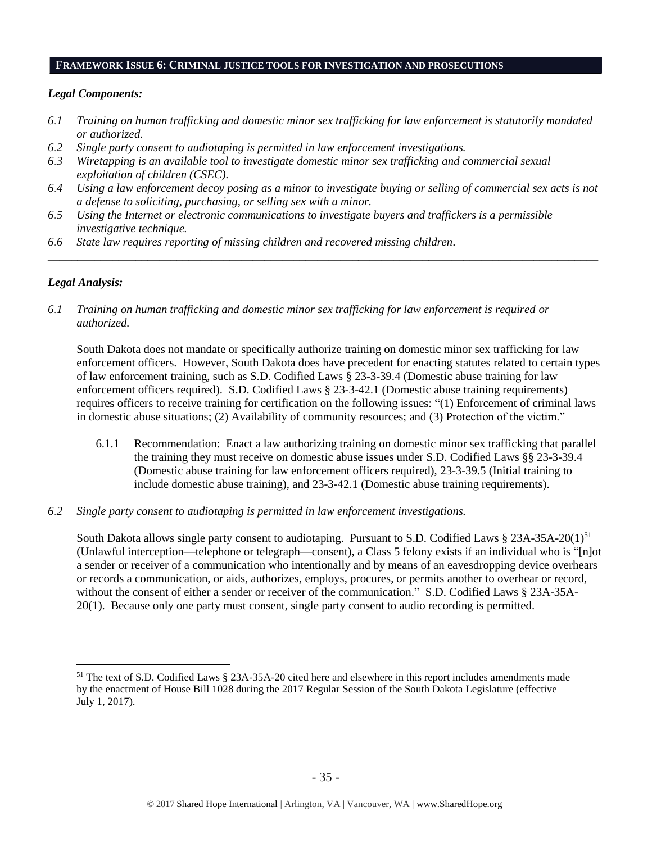# **FRAMEWORK ISSUE 6: CRIMINAL JUSTICE TOOLS FOR INVESTIGATION AND PROSECUTIONS**

#### *Legal Components:*

- *6.1 Training on human trafficking and domestic minor sex trafficking for law enforcement is statutorily mandated or authorized.*
- *6.2 Single party consent to audiotaping is permitted in law enforcement investigations.*
- *6.3 Wiretapping is an available tool to investigate domestic minor sex trafficking and commercial sexual exploitation of children (CSEC).*
- *6.4 Using a law enforcement decoy posing as a minor to investigate buying or selling of commercial sex acts is not a defense to soliciting, purchasing, or selling sex with a minor.*

*\_\_\_\_\_\_\_\_\_\_\_\_\_\_\_\_\_\_\_\_\_\_\_\_\_\_\_\_\_\_\_\_\_\_\_\_\_\_\_\_\_\_\_\_\_\_\_\_\_\_\_\_\_\_\_\_\_\_\_\_\_\_\_\_\_\_\_\_\_\_\_\_\_\_\_\_\_\_\_\_\_\_\_\_\_\_\_\_\_\_\_\_\_\_*

- *6.5 Using the Internet or electronic communications to investigate buyers and traffickers is a permissible investigative technique.*
- *6.6 State law requires reporting of missing children and recovered missing children.*

## *Legal Analysis:*

 $\overline{a}$ 

*6.1 Training on human trafficking and domestic minor sex trafficking for law enforcement is required or authorized.*

South Dakota does not mandate or specifically authorize training on domestic minor sex trafficking for law enforcement officers. However, South Dakota does have precedent for enacting statutes related to certain types of law enforcement training, such as S.D. Codified Laws § 23-3-39.4 (Domestic abuse training for law enforcement officers required). S.D. Codified Laws § 23-3-42.1 (Domestic abuse training requirements) requires officers to receive training for certification on the following issues: "(1) Enforcement of criminal laws in domestic abuse situations; (2) Availability of community resources; and (3) Protection of the victim."

- 6.1.1 Recommendation: Enact a law authorizing training on domestic minor sex trafficking that parallel the training they must receive on domestic abuse issues under S.D. Codified Laws §§ 23-3-39.4 (Domestic abuse training for law enforcement officers required), 23-3-39.5 (Initial training to include domestic abuse training), and 23-3-42.1 (Domestic abuse training requirements).
- *6.2 Single party consent to audiotaping is permitted in law enforcement investigations.*

South Dakota allows single party consent to audiotaping. Pursuant to S.D. Codified Laws  $\S 23A-35A-20(1)^{51}$ (Unlawful interception—telephone or telegraph—consent), a Class 5 felony exists if an individual who is "[n]ot a sender or receiver of a communication who intentionally and by means of an eavesdropping device overhears or records a communication, or aids, authorizes, employs, procures, or permits another to overhear or record, without the consent of either a sender or receiver of the communication." S.D. Codified Laws § 23A-35A-20(1). Because only one party must consent, single party consent to audio recording is permitted.

<sup>51</sup> The text of S.D. Codified Laws § 23A-35A-20 cited here and elsewhere in this report includes amendments made by the enactment of House Bill 1028 during the 2017 Regular Session of the South Dakota Legislature (effective July 1, 2017).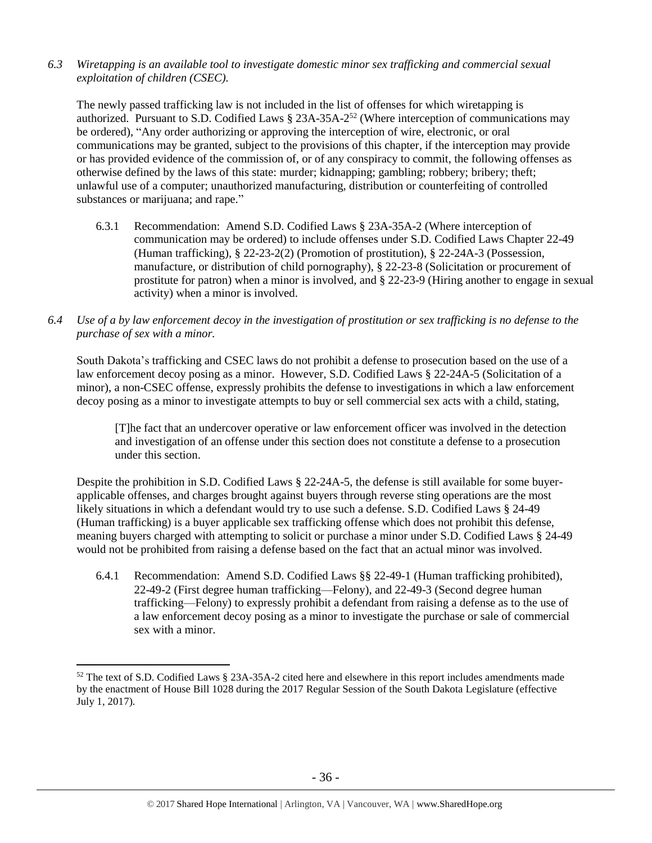*6.3 Wiretapping is an available tool to investigate domestic minor sex trafficking and commercial sexual exploitation of children (CSEC).* 

The newly passed trafficking law is not included in the list of offenses for which wiretapping is authorized. Pursuant to S.D. Codified Laws § 23A-35A-2<sup>52</sup> (Where interception of communications may be ordered), "Any order authorizing or approving the interception of wire, electronic, or oral communications may be granted, subject to the provisions of this chapter, if the interception may provide or has provided evidence of the commission of, or of any conspiracy to commit, the following offenses as otherwise defined by the laws of this state: murder; kidnapping; gambling; robbery; bribery; theft; unlawful use of a computer; unauthorized manufacturing, distribution or counterfeiting of controlled substances or marijuana; and rape."

- 6.3.1 Recommendation: Amend S.D. Codified Laws § 23A-35A-2 (Where interception of communication may be ordered) to include offenses under S.D. Codified Laws Chapter 22-49 (Human trafficking), § 22-23-2(2) (Promotion of prostitution), § 22-24A-3 (Possession, manufacture, or distribution of child pornography), § 22-23-8 (Solicitation or procurement of prostitute for patron) when a minor is involved, and § 22-23-9 (Hiring another to engage in sexual activity) when a minor is involved.
- *6.4 Use of a by law enforcement decoy in the investigation of prostitution or sex trafficking is no defense to the purchase of sex with a minor.*

South Dakota's trafficking and CSEC laws do not prohibit a defense to prosecution based on the use of a law enforcement decoy posing as a minor. However, S.D. Codified Laws § 22-24A-5 (Solicitation of a minor), a non-CSEC offense, expressly prohibits the defense to investigations in which a law enforcement decoy posing as a minor to investigate attempts to buy or sell commercial sex acts with a child, stating,

[T]he fact that an undercover operative or law enforcement officer was involved in the detection and investigation of an offense under this section does not constitute a defense to a prosecution under this section.

Despite the prohibition in S.D. Codified Laws § 22-24A-5, the defense is still available for some buyerapplicable offenses, and charges brought against buyers through reverse sting operations are the most likely situations in which a defendant would try to use such a defense. S.D. Codified Laws § 24-49 (Human trafficking) is a buyer applicable sex trafficking offense which does not prohibit this defense, meaning buyers charged with attempting to solicit or purchase a minor under S.D. Codified Laws § 24-49 would not be prohibited from raising a defense based on the fact that an actual minor was involved.

6.4.1 Recommendation: Amend S.D. Codified Laws §§ 22-49-1 (Human trafficking prohibited), 22-49-2 (First degree human trafficking—Felony), and 22-49-3 (Second degree human trafficking—Felony) to expressly prohibit a defendant from raising a defense as to the use of a law enforcement decoy posing as a minor to investigate the purchase or sale of commercial sex with a minor.

<sup>52</sup> The text of S.D. Codified Laws § 23A-35A-2 cited here and elsewhere in this report includes amendments made by the enactment of House Bill 1028 during the 2017 Regular Session of the South Dakota Legislature (effective July 1, 2017).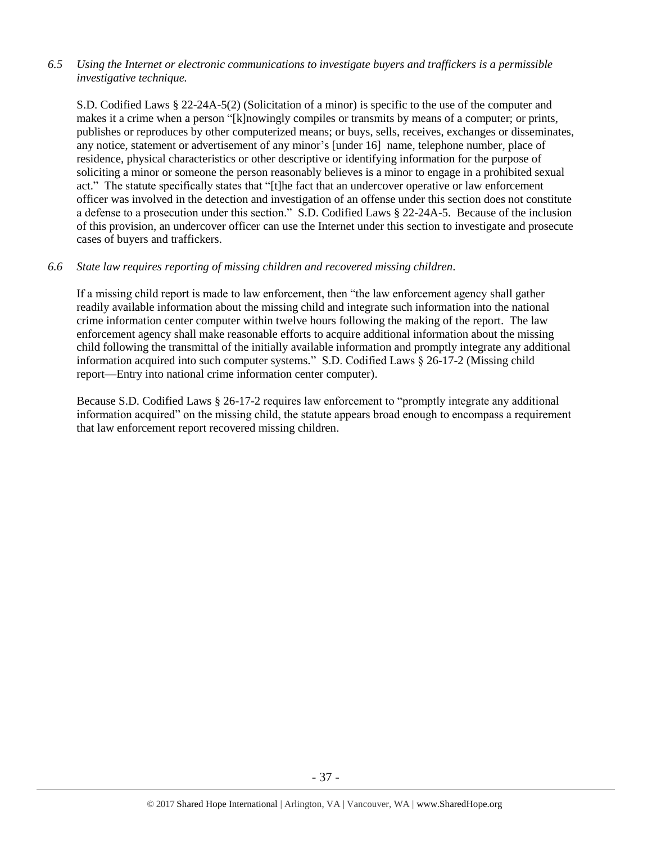# *6.5 Using the Internet or electronic communications to investigate buyers and traffickers is a permissible investigative technique.*

S.D. Codified Laws § 22-24A-5(2) (Solicitation of a minor) is specific to the use of the computer and makes it a crime when a person "[k]nowingly compiles or transmits by means of a computer; or prints, publishes or reproduces by other computerized means; or buys, sells, receives, exchanges or disseminates, any notice, statement or advertisement of any minor's [under 16] name, telephone number, place of residence, physical characteristics or other descriptive or identifying information for the purpose of soliciting a minor or someone the person reasonably believes is a minor to engage in a prohibited sexual act." The statute specifically states that "[t]he fact that an undercover operative or law enforcement officer was involved in the detection and investigation of an offense under this section does not constitute a defense to a prosecution under this section." S.D. Codified Laws § 22-24A-5. Because of the inclusion of this provision, an undercover officer can use the Internet under this section to investigate and prosecute cases of buyers and traffickers.

## *6.6 State law requires reporting of missing children and recovered missing children.*

If a missing child report is made to law enforcement, then "the law enforcement agency shall gather readily available information about the missing child and integrate such information into the national crime information center computer within twelve hours following the making of the report. The law enforcement agency shall make reasonable efforts to acquire additional information about the missing child following the transmittal of the initially available information and promptly integrate any additional information acquired into such computer systems." S.D. Codified Laws § 26-17-2 (Missing child report—Entry into national crime information center computer).

Because S.D. Codified Laws § 26-17-2 requires law enforcement to "promptly integrate any additional information acquired" on the missing child, the statute appears broad enough to encompass a requirement that law enforcement report recovered missing children.